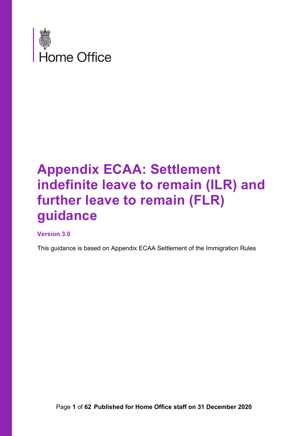

# **Appendix ECAA: Settlement indefinite leave to remain (ILR) and further leave to remain (FLR) guidance**

#### **Version 3.0**

This guidance is based on Appendix ECAA Settlement of the Immigration Rules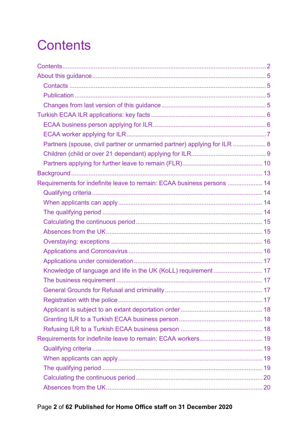# <span id="page-1-0"></span>**Contents**

| Partners (spouse, civil partner or unmarried partner) applying for ILR  8 |  |
|---------------------------------------------------------------------------|--|
|                                                                           |  |
|                                                                           |  |
|                                                                           |  |
| Requirements for indefinite leave to remain: ECAA business persons  14    |  |
|                                                                           |  |
|                                                                           |  |
|                                                                           |  |
|                                                                           |  |
|                                                                           |  |
|                                                                           |  |
|                                                                           |  |
|                                                                           |  |
| Knowledge of language and life in the UK (KoLL) requirement  17           |  |
|                                                                           |  |
|                                                                           |  |
|                                                                           |  |
|                                                                           |  |
|                                                                           |  |
|                                                                           |  |
|                                                                           |  |
|                                                                           |  |
|                                                                           |  |
|                                                                           |  |
|                                                                           |  |
|                                                                           |  |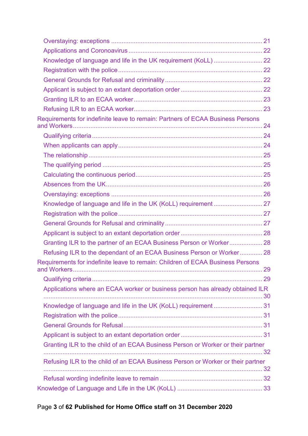| Requirements for indefinite leave to remain: Partners of ECAA Business Persons  |  |
|---------------------------------------------------------------------------------|--|
|                                                                                 |  |
|                                                                                 |  |
|                                                                                 |  |
|                                                                                 |  |
|                                                                                 |  |
|                                                                                 |  |
|                                                                                 |  |
|                                                                                 |  |
|                                                                                 |  |
|                                                                                 |  |
|                                                                                 |  |
| Granting ILR to the partner of an ECAA Business Person or Worker 28             |  |
| Refusing ILR to the dependant of an ECAA Business Person or Worker 28           |  |
| Requirements for indefinite leave to remain: Children of ECAA Business Persons  |  |
|                                                                                 |  |
|                                                                                 |  |
| Applications where an ECAA worker or business person has already obtained ILR   |  |
|                                                                                 |  |
|                                                                                 |  |
|                                                                                 |  |
|                                                                                 |  |
| Granting ILR to the child of an ECAA Business Person or Worker or their partner |  |
| Refusing ILR to the child of an ECAA Business Person or Worker or their partner |  |
|                                                                                 |  |
|                                                                                 |  |
|                                                                                 |  |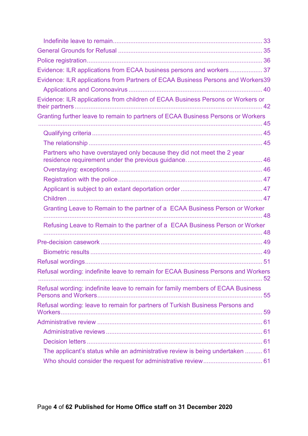| Evidence: ILR applications from ECAA business persons and workers 37              |  |
|-----------------------------------------------------------------------------------|--|
| Evidence: ILR applications from Partners of ECAA Business Persons and Workers39   |  |
|                                                                                   |  |
| Evidence: ILR applications from children of ECAA Business Persons or Workers or   |  |
| Granting further leave to remain to partners of ECAA Business Persons or Workers  |  |
|                                                                                   |  |
|                                                                                   |  |
|                                                                                   |  |
| Partners who have overstayed only because they did not meet the 2 year            |  |
|                                                                                   |  |
|                                                                                   |  |
|                                                                                   |  |
|                                                                                   |  |
|                                                                                   |  |
| Granting Leave to Remain to the partner of a ECAA Business Person or Worker       |  |
| Refusing Leave to Remain to the partner of a ECAA Business Person or Worker       |  |
|                                                                                   |  |
|                                                                                   |  |
|                                                                                   |  |
|                                                                                   |  |
| Refusal wording: indefinite leave to remain for ECAA Business Persons and Workers |  |
| Refusal wording: indefinite leave to remain for family members of ECAA Business   |  |
| Refusal wording: leave to remain for partners of Turkish Business Persons and     |  |
|                                                                                   |  |
|                                                                                   |  |
|                                                                                   |  |
| The applicant's status while an administrative review is being undertaken  61     |  |
|                                                                                   |  |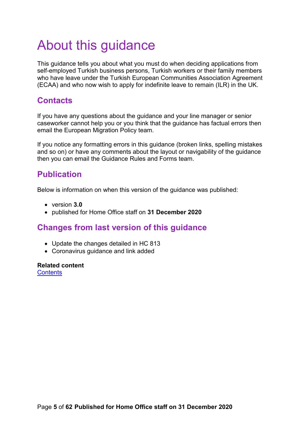# <span id="page-4-0"></span>About this guidance

This guidance tells you about what you must do when deciding applications from self-employed Turkish business persons, Turkish workers or their family members who have leave under the Turkish European Communities Association Agreement (ECAA) and who now wish to apply for indefinite leave to remain (ILR) in the UK.

#### <span id="page-4-1"></span>**Contacts**

If you have any questions about the guidance and your line manager or senior caseworker cannot help you or you think that the guidance has factual errors then email the European Migration Policy team.

If you notice any formatting errors in this guidance (broken links, spelling mistakes and so on) or have any comments about the layout or navigability of the guidance then you can email the Guidance Rules and Forms team.

### <span id="page-4-2"></span>**Publication**

Below is information on when this version of the guidance was published:

- version **3.0**
- published for Home Office staff on **31 December 2020**

#### <span id="page-4-3"></span>**Changes from last version of this guidance**

- Update the changes detailed in HC 813
- Coronavirus guidance and link added

**Related content [Contents](#page-1-0)**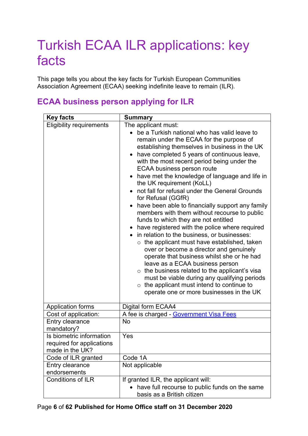# <span id="page-5-0"></span>Turkish ECAA ILR applications: key facts

This page tells you about the key facts for Turkish European Communities Association Agreement (ECAA) seeking indefinite leave to remain (ILR).

## <span id="page-5-1"></span>**ECAA business person applying for ILR**

| <b>Key facts</b>                                                         | <b>Summary</b>                                                                                                                                                                                                                                                                                                                                                                                                                                                                                                                                                                                                                                                                                                                                                                                                                                                                                                                                                                                                                                                                                                        |
|--------------------------------------------------------------------------|-----------------------------------------------------------------------------------------------------------------------------------------------------------------------------------------------------------------------------------------------------------------------------------------------------------------------------------------------------------------------------------------------------------------------------------------------------------------------------------------------------------------------------------------------------------------------------------------------------------------------------------------------------------------------------------------------------------------------------------------------------------------------------------------------------------------------------------------------------------------------------------------------------------------------------------------------------------------------------------------------------------------------------------------------------------------------------------------------------------------------|
| <b>Eligibility requirements</b>                                          | The applicant must:<br>be a Turkish national who has valid leave to<br>remain under the ECAA for the purpose of<br>establishing themselves in business in the UK<br>have completed 5 years of continuous leave,<br>$\bullet$<br>with the most recent period being under the<br><b>ECAA business person route</b><br>• have met the knowledge of language and life in<br>the UK requirement (KoLL)<br>not fall for refusal under the General Grounds<br>for Refusal (GGfR)<br>have been able to financially support any family<br>members with them without recourse to public<br>funds to which they are not entitled<br>have registered with the police where required<br>• in relation to the business, or businesses:<br>$\circ$ the applicant must have established, taken<br>over or become a director and genuinely<br>operate that business whilst she or he had<br>leave as a ECAA business person<br>the business related to the applicant's visa<br>$\circ$<br>must be viable during any qualifying periods<br>$\circ$ the applicant must intend to continue to<br>operate one or more businesses in the UK |
| <b>Application forms</b>                                                 | Digital form ECAA4                                                                                                                                                                                                                                                                                                                                                                                                                                                                                                                                                                                                                                                                                                                                                                                                                                                                                                                                                                                                                                                                                                    |
| Cost of application:                                                     | A fee is charged - Government Visa Fees                                                                                                                                                                                                                                                                                                                                                                                                                                                                                                                                                                                                                                                                                                                                                                                                                                                                                                                                                                                                                                                                               |
| Entry clearance<br>mandatory?                                            | <b>No</b>                                                                                                                                                                                                                                                                                                                                                                                                                                                                                                                                                                                                                                                                                                                                                                                                                                                                                                                                                                                                                                                                                                             |
| Is biometric information<br>required for applications<br>made in the UK? | Yes                                                                                                                                                                                                                                                                                                                                                                                                                                                                                                                                                                                                                                                                                                                                                                                                                                                                                                                                                                                                                                                                                                                   |
| Code of ILR granted                                                      | Code 1A                                                                                                                                                                                                                                                                                                                                                                                                                                                                                                                                                                                                                                                                                                                                                                                                                                                                                                                                                                                                                                                                                                               |
| Entry clearance<br>endorsements                                          | Not applicable                                                                                                                                                                                                                                                                                                                                                                                                                                                                                                                                                                                                                                                                                                                                                                                                                                                                                                                                                                                                                                                                                                        |
| <b>Conditions of ILR</b>                                                 | If granted ILR, the applicant will:<br>have full recourse to public funds on the same<br>$\bullet$<br>basis as a British citizen                                                                                                                                                                                                                                                                                                                                                                                                                                                                                                                                                                                                                                                                                                                                                                                                                                                                                                                                                                                      |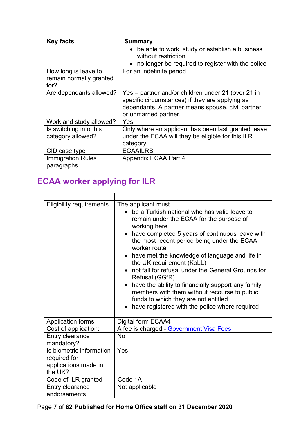| <b>Key facts</b>                                        | <b>Summary</b>                                                                                                                                                                      |
|---------------------------------------------------------|-------------------------------------------------------------------------------------------------------------------------------------------------------------------------------------|
|                                                         | be able to work, study or establish a business<br>without restriction<br>no longer be required to register with the police                                                          |
| How long is leave to<br>remain normally granted<br>for? | For an indefinite period                                                                                                                                                            |
| Are dependants allowed?                                 | Yes – partner and/or children under 21 (over 21 in<br>specific circumstances) if they are applying as<br>dependants. A partner means spouse, civil partner<br>or unmarried partner. |
| Work and study allowed?                                 | Yes                                                                                                                                                                                 |
| Is switching into this<br>category allowed?             | Only where an applicant has been last granted leave<br>under the ECAA will they be eligible for this ILR<br>category.                                                               |
| CID case type                                           | <b>ECAAILRB</b>                                                                                                                                                                     |
| <b>Immigration Rules</b><br>paragraphs                  | Appendix ECAA Part 4                                                                                                                                                                |

## <span id="page-6-0"></span>**ECAA worker applying for ILR**

| <b>Eligibility requirements</b>                                             | The applicant must<br>• be a Turkish national who has valid leave to<br>remain under the ECAA for the purpose of<br>working here<br>• have completed 5 years of continuous leave with<br>the most recent period being under the ECAA<br>worker route<br>• have met the knowledge of language and life in<br>the UK requirement (KoLL)<br>not fall for refusal under the General Grounds for<br>Refusal (GGfR)<br>have the ability to financially support any family<br>members with them without recourse to public<br>funds to which they are not entitled<br>have registered with the police where required |
|-----------------------------------------------------------------------------|---------------------------------------------------------------------------------------------------------------------------------------------------------------------------------------------------------------------------------------------------------------------------------------------------------------------------------------------------------------------------------------------------------------------------------------------------------------------------------------------------------------------------------------------------------------------------------------------------------------|
| <b>Application forms</b>                                                    | Digital form ECAA4                                                                                                                                                                                                                                                                                                                                                                                                                                                                                                                                                                                            |
| Cost of application:                                                        | A fee is charged - Government Visa Fees                                                                                                                                                                                                                                                                                                                                                                                                                                                                                                                                                                       |
| Entry clearance<br>mandatory?                                               | <b>No</b>                                                                                                                                                                                                                                                                                                                                                                                                                                                                                                                                                                                                     |
| Is biometric information<br>required for<br>applications made in<br>the UK? | Yes                                                                                                                                                                                                                                                                                                                                                                                                                                                                                                                                                                                                           |
| Code of ILR granted                                                         | Code 1A                                                                                                                                                                                                                                                                                                                                                                                                                                                                                                                                                                                                       |
| Entry clearance<br>endorsements                                             | Not applicable                                                                                                                                                                                                                                                                                                                                                                                                                                                                                                                                                                                                |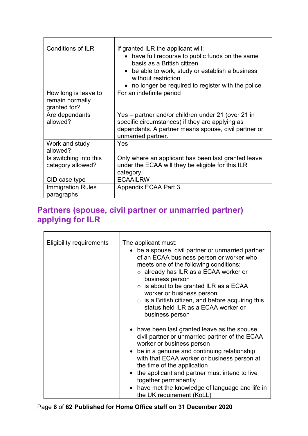| <b>Conditions of ILR</b>                                | If granted ILR the applicant will:<br>• have full recourse to public funds on the same<br>basis as a British citizen<br>• be able to work, study or establish a business<br>without restriction<br>• no longer be required to register with the police |
|---------------------------------------------------------|--------------------------------------------------------------------------------------------------------------------------------------------------------------------------------------------------------------------------------------------------------|
| How long is leave to<br>remain normally<br>granted for? | For an indefinite period                                                                                                                                                                                                                               |
| Are dependants<br>allowed?                              | Yes – partner and/or children under 21 (over 21 in<br>specific circumstances) if they are applying as<br>dependants. A partner means spouse, civil partner or<br>unmarried partner.                                                                    |
| Work and study<br>allowed?                              | Yes                                                                                                                                                                                                                                                    |
| Is switching into this<br>category allowed?             | Only where an applicant has been last granted leave<br>under the ECAA will they be eligible for this ILR<br>category.                                                                                                                                  |
| CID case type                                           | <b>ECAAILRW</b>                                                                                                                                                                                                                                        |
| <b>Immigration Rules</b><br>paragraphs                  | Appendix ECAA Part 3                                                                                                                                                                                                                                   |

### <span id="page-7-0"></span>**Partners (spouse, civil partner or unmarried partner) applying for ILR**

| <b>Eligibility requirements</b> | The applicant must:<br>• be a spouse, civil partner or unmarried partner<br>of an ECAA business person or worker who<br>meets one of the following conditions:<br>$\circ$ already has ILR as a ECAA worker or<br>business person<br>$\circ$ is about to be granted ILR as a ECAA<br>worker or business person<br>$\circ$ is a British citizen, and before acquiring this<br>status held ILR as a ECAA worker or<br>business person |
|---------------------------------|------------------------------------------------------------------------------------------------------------------------------------------------------------------------------------------------------------------------------------------------------------------------------------------------------------------------------------------------------------------------------------------------------------------------------------|
|                                 | • have been last granted leave as the spouse,<br>civil partner or unmarried partner of the ECAA<br>worker or business person<br>• be in a genuine and continuing relationship<br>with that ECAA worker or business person at<br>the time of the application<br>• the applicant and partner must intend to live<br>together permanently<br>• have met the knowledge of language and life in<br>the UK requirement (KoLL)            |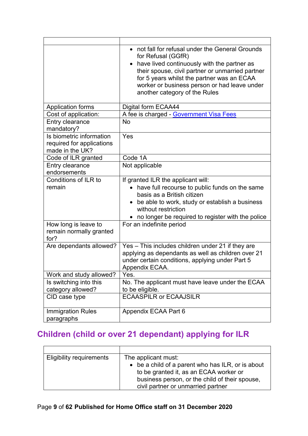|                                                                          | • not fall for refusal under the General Grounds<br>for Refusal (GGfR)<br>have lived continuously with the partner as<br>their spouse, civil partner or unmarried partner<br>for 5 years whilst the partner was an ECAA<br>worker or business person or had leave under<br>another category of the Rules |
|--------------------------------------------------------------------------|----------------------------------------------------------------------------------------------------------------------------------------------------------------------------------------------------------------------------------------------------------------------------------------------------------|
| <b>Application forms</b>                                                 | Digital form ECAA44                                                                                                                                                                                                                                                                                      |
| Cost of application:                                                     | A fee is charged - Government Visa Fees                                                                                                                                                                                                                                                                  |
| Entry clearance<br>mandatory?                                            | <b>No</b>                                                                                                                                                                                                                                                                                                |
| Is biometric information<br>required for applications<br>made in the UK? | Yes                                                                                                                                                                                                                                                                                                      |
| Code of ILR granted                                                      | Code 1A                                                                                                                                                                                                                                                                                                  |
| Entry clearance<br>endorsements                                          | Not applicable                                                                                                                                                                                                                                                                                           |
| Conditions of ILR to<br>remain                                           | If granted ILR the applicant will:<br>have full recourse to public funds on the same<br>basis as a British citizen<br>be able to work, study or establish a business<br>without restriction<br>• no longer be required to register with the police                                                       |
| How long is leave to<br>remain normally granted<br>for?                  | For an indefinite period                                                                                                                                                                                                                                                                                 |
| Are dependants allowed?                                                  | Yes - This includes children under 21 if they are<br>applying as dependants as well as children over 21<br>under certain conditions, applying under Part 5<br>Appendix ECAA.                                                                                                                             |
| Work and study allowed?                                                  | Yes.                                                                                                                                                                                                                                                                                                     |
| Is switching into this<br>category allowed?                              | No. The applicant must have leave under the ECAA<br>to be eligible.                                                                                                                                                                                                                                      |
| CID case type                                                            | <b>ECAASPILR or ECAAJSILR</b>                                                                                                                                                                                                                                                                            |
| <b>Immigration Rules</b><br>paragraphs                                   | Appendix ECAA Part 6                                                                                                                                                                                                                                                                                     |

## <span id="page-8-0"></span>**Children (child or over 21 dependant) applying for ILR**

| <b>Eligibility requirements</b> | The applicant must:                               |
|---------------------------------|---------------------------------------------------|
|                                 | • be a child of a parent who has ILR, or is about |
|                                 | to be granted it, as an ECAA worker or            |
|                                 | business person, or the child of their spouse,    |
|                                 | civil partner or unmarried partner                |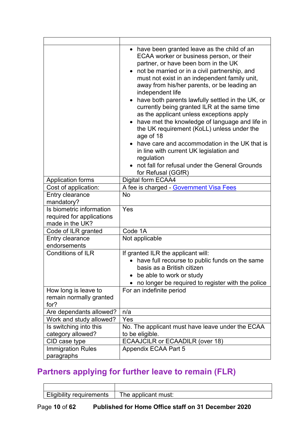|                                                                          | have been granted leave as the child of an<br>ECAA worker or business person, or their<br>partner, or have been born in the UK<br>not be married or in a civil partnership, and<br>must not exist in an independent family unit,<br>away from his/her parents, or be leading an<br>independent life<br>have both parents lawfully settled in the UK, or<br>currently being granted ILR at the same time<br>as the applicant unless exceptions apply<br>have met the knowledge of language and life in<br>the UK requirement (KoLL) unless under the<br>age of 18<br>have care and accommodation in the UK that is<br>in line with current UK legislation and<br>regulation<br>• not fall for refusal under the General Grounds<br>for Refusal (GGfR) |
|--------------------------------------------------------------------------|------------------------------------------------------------------------------------------------------------------------------------------------------------------------------------------------------------------------------------------------------------------------------------------------------------------------------------------------------------------------------------------------------------------------------------------------------------------------------------------------------------------------------------------------------------------------------------------------------------------------------------------------------------------------------------------------------------------------------------------------------|
| <b>Application forms</b>                                                 | Digital form ECAA4                                                                                                                                                                                                                                                                                                                                                                                                                                                                                                                                                                                                                                                                                                                                   |
| Cost of application:                                                     | A fee is charged - Government Visa Fees                                                                                                                                                                                                                                                                                                                                                                                                                                                                                                                                                                                                                                                                                                              |
| Entry clearance                                                          | <b>No</b>                                                                                                                                                                                                                                                                                                                                                                                                                                                                                                                                                                                                                                                                                                                                            |
| mandatory?                                                               |                                                                                                                                                                                                                                                                                                                                                                                                                                                                                                                                                                                                                                                                                                                                                      |
| Is biometric information<br>required for applications<br>made in the UK? | Yes                                                                                                                                                                                                                                                                                                                                                                                                                                                                                                                                                                                                                                                                                                                                                  |
| Code of ILR granted                                                      | Code 1A                                                                                                                                                                                                                                                                                                                                                                                                                                                                                                                                                                                                                                                                                                                                              |
| Entry clearance<br>endorsements                                          | Not applicable                                                                                                                                                                                                                                                                                                                                                                                                                                                                                                                                                                                                                                                                                                                                       |
| <b>Conditions of ILR</b>                                                 | If granted ILR the applicant will:<br>have full recourse to public funds on the same<br>basis as a British citizen<br>be able to work or study<br>no longer be required to register with the police                                                                                                                                                                                                                                                                                                                                                                                                                                                                                                                                                  |
| How long is leave to<br>remain normally granted<br>for?                  | For an indefinite period                                                                                                                                                                                                                                                                                                                                                                                                                                                                                                                                                                                                                                                                                                                             |
| Are dependants allowed?                                                  | n/a                                                                                                                                                                                                                                                                                                                                                                                                                                                                                                                                                                                                                                                                                                                                                  |
| Work and study allowed?                                                  | Yes                                                                                                                                                                                                                                                                                                                                                                                                                                                                                                                                                                                                                                                                                                                                                  |
| Is switching into this                                                   | No. The applicant must have leave under the ECAA                                                                                                                                                                                                                                                                                                                                                                                                                                                                                                                                                                                                                                                                                                     |
| category allowed?                                                        | to be eligible.                                                                                                                                                                                                                                                                                                                                                                                                                                                                                                                                                                                                                                                                                                                                      |
| CID case type                                                            | ECAAJCILR or ECAADILR (over 18)                                                                                                                                                                                                                                                                                                                                                                                                                                                                                                                                                                                                                                                                                                                      |
| <b>Immigration Rules</b>                                                 | Appendix ECAA Part 5                                                                                                                                                                                                                                                                                                                                                                                                                                                                                                                                                                                                                                                                                                                                 |
| paragraphs                                                               |                                                                                                                                                                                                                                                                                                                                                                                                                                                                                                                                                                                                                                                                                                                                                      |

## <span id="page-9-0"></span>**Partners applying for further leave to remain (FLR)**

| <b>Eligibility requirements</b> | The applicant must: |
|---------------------------------|---------------------|
|                                 |                     |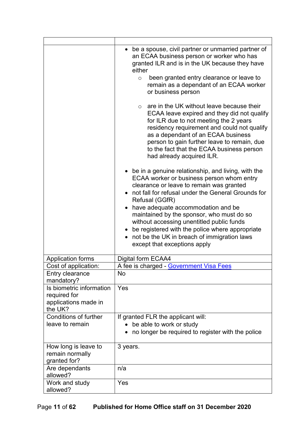|                                                                                                             | be a spouse, civil partner or unmarried partner of<br>an ECAA business person or worker who has<br>granted ILR and is in the UK because they have<br>either<br>been granted entry clearance or leave to<br>$\circ$<br>remain as a dependant of an ECAA worker<br>or business person<br>are in the UK without leave because their<br>$\circ$<br>ECAA leave expired and they did not qualify<br>for ILR due to not meeting the 2 years<br>residency requirement and could not qualify<br>as a dependant of an ECAA business<br>person to gain further leave to remain, due<br>to the fact that the ECAA business person<br>had already acquired ILR.<br>• be in a genuine relationship, and living, with the<br>ECAA worker or business person whom entry<br>clearance or leave to remain was granted<br>• not fall for refusal under the General Grounds for<br>Refusal (GGfR)<br>• have adequate accommodation and be<br>maintained by the sponsor, who must do so<br>without accessing unentitled public funds<br>• be registered with the police where appropriate<br>• not be the UK in breach of immigration laws<br>except that exceptions apply |
|-------------------------------------------------------------------------------------------------------------|-------------------------------------------------------------------------------------------------------------------------------------------------------------------------------------------------------------------------------------------------------------------------------------------------------------------------------------------------------------------------------------------------------------------------------------------------------------------------------------------------------------------------------------------------------------------------------------------------------------------------------------------------------------------------------------------------------------------------------------------------------------------------------------------------------------------------------------------------------------------------------------------------------------------------------------------------------------------------------------------------------------------------------------------------------------------------------------------------------------------------------------------------------|
| <b>Application forms</b>                                                                                    | Digital form ECAA4                                                                                                                                                                                                                                                                                                                                                                                                                                                                                                                                                                                                                                                                                                                                                                                                                                                                                                                                                                                                                                                                                                                                    |
| Cost of application:                                                                                        | A fee is charged - Government Visa Fees                                                                                                                                                                                                                                                                                                                                                                                                                                                                                                                                                                                                                                                                                                                                                                                                                                                                                                                                                                                                                                                                                                               |
| Entry clearance<br>mandatory?                                                                               | No                                                                                                                                                                                                                                                                                                                                                                                                                                                                                                                                                                                                                                                                                                                                                                                                                                                                                                                                                                                                                                                                                                                                                    |
| Is biometric information<br>required for<br>applications made in<br>the UK?<br><b>Conditions of further</b> | Yes                                                                                                                                                                                                                                                                                                                                                                                                                                                                                                                                                                                                                                                                                                                                                                                                                                                                                                                                                                                                                                                                                                                                                   |
| leave to remain                                                                                             | If granted FLR the applicant will:<br>be able to work or study<br>no longer be required to register with the police                                                                                                                                                                                                                                                                                                                                                                                                                                                                                                                                                                                                                                                                                                                                                                                                                                                                                                                                                                                                                                   |
| How long is leave to<br>remain normally<br>granted for?                                                     | 3 years.                                                                                                                                                                                                                                                                                                                                                                                                                                                                                                                                                                                                                                                                                                                                                                                                                                                                                                                                                                                                                                                                                                                                              |
| Are dependants<br>allowed?                                                                                  | n/a                                                                                                                                                                                                                                                                                                                                                                                                                                                                                                                                                                                                                                                                                                                                                                                                                                                                                                                                                                                                                                                                                                                                                   |
| Work and study<br>allowed?                                                                                  | Yes                                                                                                                                                                                                                                                                                                                                                                                                                                                                                                                                                                                                                                                                                                                                                                                                                                                                                                                                                                                                                                                                                                                                                   |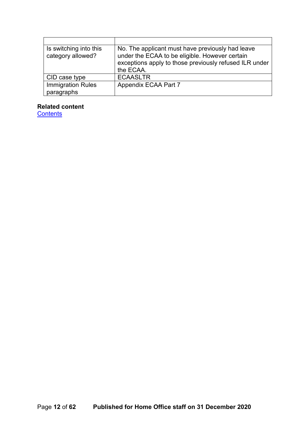| Is switching into this<br>category allowed? | No. The applicant must have previously had leave<br>under the ECAA to be eligible. However certain<br>exceptions apply to those previously refused ILR under<br>the ECAA. |
|---------------------------------------------|---------------------------------------------------------------------------------------------------------------------------------------------------------------------------|
| CID case type                               | <b>ECAASLTR</b>                                                                                                                                                           |
| <b>Immigration Rules</b><br>paragraphs      | Appendix ECAA Part 7                                                                                                                                                      |

#### **Related content**

**[Contents](#page-1-0)**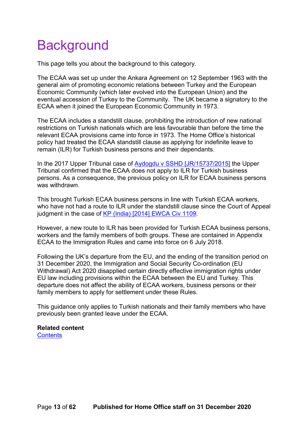# <span id="page-12-0"></span>**Background**

This page tells you about the background to this category.

The ECAA was set up under the Ankara Agreement on 12 September 1963 with the general aim of promoting economic relations between Turkey and the European Economic Community (which later evolved into the European Union) and the eventual accession of Turkey to the Community. The UK became a signatory to the ECAA when it joined the European Economic Community in 1973.

The ECAA includes a standstill clause, prohibiting the introduction of new national restrictions on Turkish nationals which are less favourable than before the time the relevant ECAA provisions came into force in 1973. The Home Office's historical policy had treated the ECAA standstill clause as applying for indefinite leave to remain (ILR) for Turkish business persons and their dependants.

In the 2017 Upper Tribunal case of [Aydogdu v SSHD \[JR/15737/2015\]](http://www.bailii.org/uk/cases/UKUT/IAC/2017/167.html) the Upper Tribunal confirmed that the ECAA does not apply to ILR for Turkish business persons. As a consequence, the previous policy on ILR for ECAA business persons was withdrawn.

This brought Turkish ECAA business persons in line with Turkish ECAA workers, who have not had a route to ILR under the standstill clause since the Court of Appeal judgment in the case of KP (India) [\[2014\] EWCA Civ 1109.](http://www.bailii.org/ew/cases/EWCA/Civ/2014/1109.html)

However, a new route to ILR has been provided for Turkish ECAA business persons, workers and the family members of both groups. These are contained in Appendix ECAA to the Immigration Rules and came into force on 6 July 2018.

Following the UK's departure from the EU, and the ending of the transition period on 31 December 2020, the Immigration and Social Security Co-ordination (EU Withdrawal) Act 2020 disapplied certain directly effective immigration rights under EU law including provisions within the ECAA between the EU and Turkey. This departure does not affect the ability of ECAA workers, business persons or their family members to apply for settlement under these Rules.

This guidance only applies to Turkish nationals and their family members who have previously been granted leave under the ECAA.

<span id="page-12-1"></span>**Related content [Contents](#page-1-0)**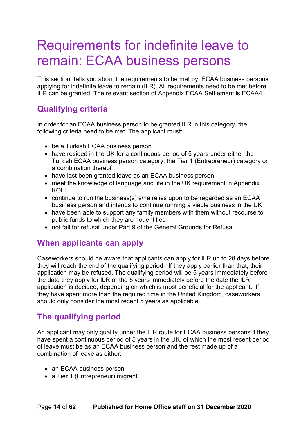## <span id="page-13-0"></span>Requirements for indefinite leave to remain: ECAA business persons

This section tells you about the requirements to be met by ECAA business persons applying for indefinite leave to remain (ILR). All requirements need to be met before ILR can be granted. The relevant section of Appendix ECAA Settlement is ECAA4.

#### <span id="page-13-1"></span>**Qualifying criteria**

In order for an ECAA business person to be granted ILR in this category, the following criteria need to be met. The applicant must:

- be a Turkish ECAA business person
- have resided in the UK for a continuous period of 5 years under either the Turkish ECAA business person category, the Tier 1 (Entrepreneur) category or a combination thereof
- have last been granted leave as an ECAA business person
- meet the knowledge of language and life in the UK requirement in Appendix KOLL
- continue to run the business(s) s/he relies upon to be regarded as an ECAA business person and intends to continue running a viable business in the UK
- have been able to support any family members with them without recourse to public funds to which they are not entitled
- not fall for refusal under Part 9 of the General Grounds for Refusal

#### <span id="page-13-2"></span>**When applicants can apply**

Caseworkers should be aware that applicants can apply for ILR up to 28 days before they will reach the end of the qualifying period. If they apply earlier than that, their application may be refused. The qualifying period will be 5 years immediately before the date they apply for ILR or the 5 years immediately before the date the ILR application is decided, depending on which is most beneficial for the applicant. If they have spent more than the required time in the United Kingdom, caseworkers should only consider the most recent 5 years as applicable.

#### <span id="page-13-3"></span>**The qualifying period**

An applicant may only qualify under the ILR route for ECAA business persons if they have spent a continuous period of 5 years in the UK, of which the most recent period of leave must be as an ECAA business person and the rest made up of a combination of leave as either:

- an ECAA business person
- a Tier 1 (Entrepreneur) migrant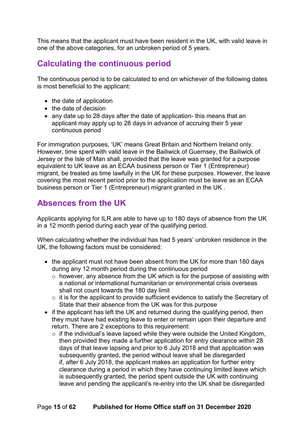This means that the applicant must have been resident in the UK, with valid leave in one of the above categories, for an unbroken period of 5 years.

#### <span id="page-14-0"></span>**Calculating the continuous period**

The continuous period is to be calculated to end on whichever of the following dates is most beneficial to the applicant:

- the date of application
- the date of decision
- any date up to 28 days after the date of application- this means that an applicant may apply up to 28 days in advance of accruing their 5 year continuous period

For immigration purposes, 'UK' means Great Britain and Northern Ireland only. However, time spent with valid leave in the Bailiwick of Guernsey, the Bailiwick of Jersey or the Isle of Man shall, provided that the leave was granted for a purpose equivalent to UK leave as an ECAA business person or Tier 1 (Entrepreneur) migrant, be treated as time lawfully in the UK for these purposes. However, the leave covering the most recent period prior to the application must be leave as an ECAA business person or Tier 1 (Entrepreneur) migrant granted in the UK .

### <span id="page-14-1"></span>**Absences from the UK**

Applicants applying for ILR are able to have up to 180 days of absence from the UK in a 12 month period during each year of the qualifying period.

When calculating whether the individual has had 5 years' unbroken residence in the UK, the following factors must be considered:

- the applicant must not have been absent from the UK for more than 180 days during any 12 month period during the continuous period
	- o however, any absence from the UK which is for the purpose of assisting with a national or international humanitarian or environmental crisis overseas shall not count towards the 180 day limit
	- $\circ$  it is for the applicant to provide sufficient evidence to satisfy the Secretary of State that their absence from the UK was for this purpose
- if the applicant has left the UK and returned during the qualifying period, then they must have had existing leave to enter or remain upon their departure and return. There are 2 exceptions to this requirement:
	- $\circ$  if the individual's leave lapsed while they were outside the United Kingdom, then provided they made a further application for entry clearance within 28 days of that leave lapsing and prior to 6 July 2018 and that application was subsequently granted, the period without leave shall be disregarded if, after 6 July 2018, the applicant makes an application for further entry clearance during a period in which they have continuing limited leave which is subsequently granted, the period spent outside the UK with continuing leave and pending the applicant's re-entry into the UK shall be disregarded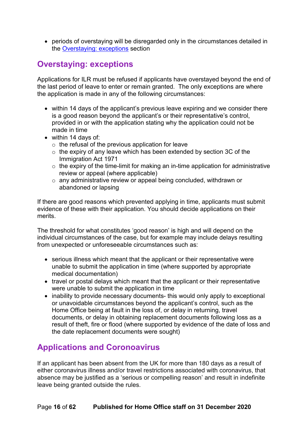• periods of overstaying will be disregarded only in the circumstances detailed in the [Overstaying: exceptions](#page-20-0) section

#### <span id="page-15-0"></span>**Overstaying: exceptions**

Applications for ILR must be refused if applicants have overstayed beyond the end of the last period of leave to enter or remain granted. The only exceptions are where the application is made in any of the following circumstances:

- within 14 days of the applicant's previous leave expiring and we consider there is a good reason beyond the applicant's or their representative's control, provided in or with the application stating why the application could not be made in time
- within 14 days of:
	- $\circ$  the refusal of the previous application for leave
	- o the expiry of any leave which has been extended by section 3C of the Immigration Act 1971
	- $\circ$  the expiry of the time-limit for making an in-time application for administrative review or appeal (where applicable)
	- o any administrative review or appeal being concluded, withdrawn or abandoned or lapsing

If there are good reasons which prevented applying in time, applicants must submit evidence of these with their application. You should decide applications on their merits.

The threshold for what constitutes 'good reason' is high and will depend on the individual circumstances of the case, but for example may include delays resulting from unexpected or unforeseeable circumstances such as:

- serious illness which meant that the applicant or their representative were unable to submit the application in time (where supported by appropriate medical documentation)
- travel or postal delays which meant that the applicant or their representative were unable to submit the application in time
- inability to provide necessary documents- this would only apply to exceptional or unavoidable circumstances beyond the applicant's control, such as the Home Office being at fault in the loss of, or delay in returning, travel documents, or delay in obtaining replacement documents following loss as a result of theft, fire or flood (where supported by evidence of the date of loss and the date replacement documents were sought)

#### <span id="page-15-1"></span>**Applications and Coronoavirus**

If an applicant has been absent from the UK for more than 180 days as a result of either coronavirus illness and/or travel restrictions associated with coronavirus, that absence may be justified as a 'serious or compelling reason' and result in indefinite leave being granted outside the rules.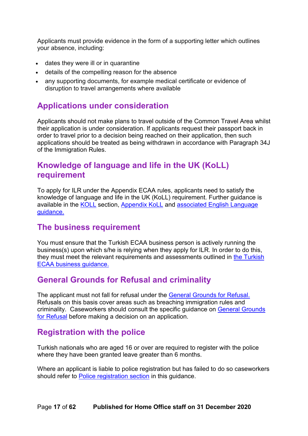Applicants must provide evidence in the form of a supporting letter which outlines your absence, including:

- dates they were ill or in quarantine
- details of the compelling reason for the absence
- any supporting documents, for example medical certificate or evidence of disruption to travel arrangements where available

#### <span id="page-16-0"></span>**Applications under consideration**

Applicants should not make plans to travel outside of the Common Travel Area whilst their application is under consideration. If applicants request their passport back in order to travel prior to a decision being reached on their application, then such applications should be treated as being withdrawn in accordance with Paragraph 34J of the Immigration Rules.

#### <span id="page-16-1"></span>**Knowledge of language and life in the UK (KoLL) requirement**

To apply for ILR under the Appendix ECAA rules, applicants need to satisfy the knowledge of language and life in the UK (KoLL) requirement. Further guidance is available in the [KOLL](#page-32-0) section, [Appendix KoLL](https://www.gov.uk/guidance/immigration-rules/immigration-rules-appendix-koll) and [associated English Language](https://www.gov.uk/government/publications/knowledge-of-life-and-language-in-the-uk)  [guidance.](https://www.gov.uk/government/publications/knowledge-of-life-and-language-in-the-uk)

#### <span id="page-16-2"></span>**The business requirement**

You must ensure that the Turkish ECAA business person is actively running the business(s) upon which s/he is relying when they apply for ILR. In order to do this, they must meet the relevant requirements and assessments outlined in [the Turkish](https://www.gov.uk/government/publications/turkish-ecaa-business-guidance)  [ECAA business guidance.](https://www.gov.uk/government/publications/turkish-ecaa-business-guidance)

#### <span id="page-16-3"></span>**General Grounds for Refusal and criminality**

The applicant must not fall for refusal under the [General Grounds for](https://www.gov.uk/government/publications/general-grounds-for-refusal-considering-leave-to-remain) Refusal. Refusals on this basis cover areas such as breaching immigration rules and criminality. Caseworkers should consult the specific guidance on **General Grounds** for [Refusal](#page-34-0) before making a decision on an application.

#### <span id="page-16-4"></span>**Registration with the police**

Turkish nationals who are aged 16 or over are required to register with the police where they have been granted leave greater than 6 months.

Where an applicant is liable to police registration but has failed to do so caseworkers should refer to [Police registration section](#page-35-0) in this guidance.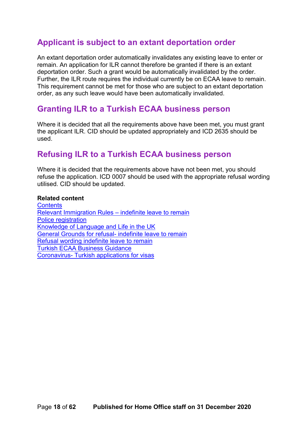#### <span id="page-17-0"></span>**Applicant is subject to an extant deportation order**

An extant deportation order automatically invalidates any existing leave to enter or remain. An application for ILR cannot therefore be granted if there is an extant deportation order. Such a grant would be automatically invalidated by the order. Further, the ILR route requires the individual currently be on ECAA leave to remain. This requirement cannot be met for those who are subject to an extant deportation order, as any such leave would have been automatically invalidated.

#### <span id="page-17-1"></span>**Granting ILR to a Turkish ECAA business person**

Where it is decided that all the requirements above have been met, you must grant the applicant ILR. CID should be updated appropriately and ICD 2635 should be used.

#### <span id="page-17-2"></span>**Refusing ILR to a Turkish ECAA business person**

Where it is decided that the requirements above have not been met, you should refuse the application. ICD 0007 should be used with the appropriate refusal wording utilised. CID should be updated.

#### **Related content**

**[Contents](#page-1-0)** [Relevant Immigration Rules –](#page-12-1) indefinite leave to remain [Police registration](https://www.gov.uk/government/publications/police-registration) [Knowledge of Language and Life in the UK](https://www.gov.uk/government/publications/knowledge-of-life-and-language-in-the-uk) [General Grounds for refusal-](https://www.gov.uk/government/collections/general-grounds-for-refusal-modernised-guidance) indefinite leave to remain [Refusal wording indefinite leave to remain](#page-51-0) [Turkish ECAA Business Guidance](https://www.gov.uk/government/publications/turkish-ecaa-business-guidance) Coronavirus- [Turkish applications for visas](https://www.gov.uk/guidance/coronavirus-covid-19-turkish-applicants-for-uk-visas)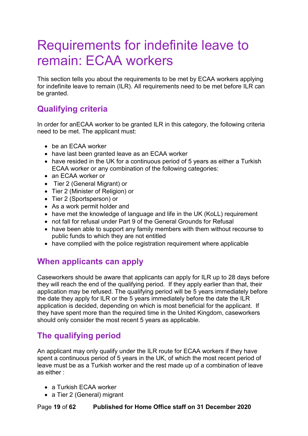# <span id="page-18-0"></span>Requirements for indefinite leave to remain: ECAA workers

This section tells you about the requirements to be met by ECAA workers applying for indefinite leave to remain (ILR). All requirements need to be met before ILR can be granted.

#### <span id="page-18-1"></span>**Qualifying criteria**

In order for anECAA worker to be granted ILR in this category, the following criteria need to be met. The applicant must:

- be an ECAA worker
- have last been granted leave as an ECAA worker
- have resided in the UK for a continuous period of 5 years as either a Turkish ECAA worker or any combination of the following categories:
- an FCAA worker or
- Tier 2 (General Migrant) or
- Tier 2 (Minister of Religion) or
- Tier 2 (Sportsperson) or
- As a work permit holder and
- have met the knowledge of language and life in the UK (KoLL) requirement
- not fall for refusal under Part 9 of the General Grounds for Refusal
- have been able to support any family members with them without recourse to public funds to which they are not entitled
- have complied with the police registration requirement where applicable

#### <span id="page-18-2"></span>**When applicants can apply**

Caseworkers should be aware that applicants can apply for ILR up to 28 days before they will reach the end of the qualifying period. If they apply earlier than that, their application may be refused. The qualifying period will be 5 years immediately before the date they apply for ILR or the 5 years immediately before the date the ILR application is decided, depending on which is most beneficial for the applicant. If they have spent more than the required time in the United Kingdom, caseworkers should only consider the most recent 5 years as applicable.

#### <span id="page-18-3"></span>**The qualifying period**

An applicant may only qualify under the ILR route for ECAA workers if they have spent a continuous period of 5 years in the UK, of which the most recent period of leave must be as a Turkish worker and the rest made up of a combination of leave as either :

- a Turkish ECAA worker
- a Tier 2 (General) migrant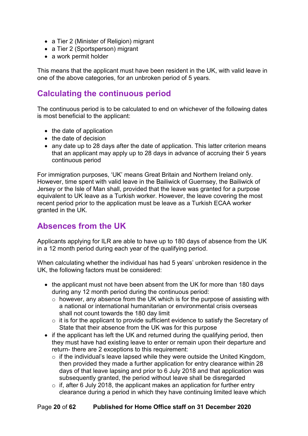- a Tier 2 (Minister of Religion) migrant
- a Tier 2 (Sportsperson) migrant
- a work permit holder

This means that the applicant must have been resident in the UK, with valid leave in one of the above categories, for an unbroken period of 5 years.

## <span id="page-19-0"></span>**Calculating the continuous period**

The continuous period is to be calculated to end on whichever of the following dates is most beneficial to the applicant:

- the date of application
- the date of decision
- any date up to 28 days after the date of application. This latter criterion means that an applicant may apply up to 28 days in advance of accruing their 5 years continuous period

For immigration purposes, 'UK' means Great Britain and Northern Ireland only. However, time spent with valid leave in the Bailiwick of Guernsey, the Bailiwick of Jersey or the Isle of Man shall, provided that the leave was granted for a purpose equivalent to UK leave as a Turkish worker. However, the leave covering the most recent period prior to the application must be leave as a Turkish ECAA worker granted in the UK.

#### <span id="page-19-1"></span>**Absences from the UK**

Applicants applying for ILR are able to have up to 180 days of absence from the UK in a 12 month period during each year of the qualifying period.

When calculating whether the individual has had 5 years' unbroken residence in the UK, the following factors must be considered:

- the applicant must not have been absent from the UK for more than 180 days during any 12 month period during the continuous period:
	- o however, any absence from the UK which is for the purpose of assisting with a national or international humanitarian or environmental crisis overseas shall not count towards the 180 day limit
	- o it is for the applicant to provide sufficient evidence to satisfy the Secretary of State that their absence from the UK was for this purpose
- if the applicant has left the UK and returned during the qualifying period, then they must have had existing leave to enter or remain upon their departure and return- there are 2 exceptions to this requirement:
	- $\circ$  if the individual's leave lapsed while they were outside the United Kingdom, then provided they made a further application for entry clearance within 28 days of that leave lapsing and prior to 6 July 2018 and that application was subsequently granted, the period without leave shall be disregarded
	- $\circ$  if, after 6 July 2018, the applicant makes an application for further entry clearance during a period in which they have continuing limited leave which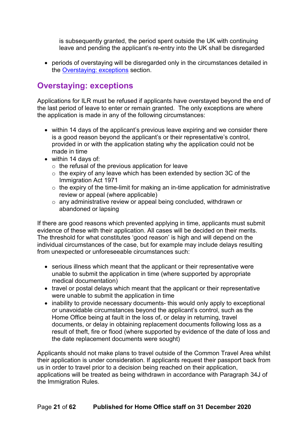is subsequently granted, the period spent outside the UK with continuing leave and pending the applicant's re-entry into the UK shall be disregarded

• periods of overstaying will be disregarded only in the circumstances detailed in the [Overstaying: exceptions](#page-20-0) section.

### <span id="page-20-0"></span>**Overstaying: exceptions**

Applications for ILR must be refused if applicants have overstayed beyond the end of the last period of leave to enter or remain granted. The only exceptions are where the application is made in any of the following circumstances:

- within 14 days of the applicant's previous leave expiring and we consider there is a good reason beyond the applicant's or their representative's control, provided in or with the application stating why the application could not be made in time
- within 14 days of:
	- $\circ$  the refusal of the previous application for leave
	- o the expiry of any leave which has been extended by section 3C of the Immigration Act 1971
	- $\circ$  the expiry of the time-limit for making an in-time application for administrative review or appeal (where applicable)
	- o any administrative review or appeal being concluded, withdrawn or abandoned or lapsing

If there are good reasons which prevented applying in time, applicants must submit evidence of these with their application. All cases will be decided on their merits. The threshold for what constitutes 'good reason' is high and will depend on the individual circumstances of the case, but for example may include delays resulting from unexpected or unforeseeable circumstances such:

- serious illness which meant that the applicant or their representative were unable to submit the application in time (where supported by appropriate medical documentation)
- travel or postal delays which meant that the applicant or their representative were unable to submit the application in time
- inability to provide necessary documents- this would only apply to exceptional or unavoidable circumstances beyond the applicant's control, such as the Home Office being at fault in the loss of, or delay in returning, travel documents, or delay in obtaining replacement documents following loss as a result of theft, fire or flood (where supported by evidence of the date of loss and the date replacement documents were sought)

Applicants should not make plans to travel outside of the Common Travel Area whilst their application is under consideration. If applicants request their passport back from us in order to travel prior to a decision being reached on their application, applications will be treated as being withdrawn in accordance with Paragraph 34J of the Immigration Rules.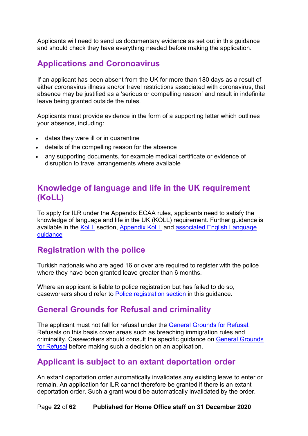Applicants will need to send us documentary evidence as set out in this guidance and should check they have everything needed before making the application.

#### <span id="page-21-0"></span>**Applications and Coronoavirus**

If an applicant has been absent from the UK for more than 180 days as a result of either coronavirus illness and/or travel restrictions associated with coronavirus, that absence may be justified as a 'serious or compelling reason' and result in indefinite leave being granted outside the rules.

Applicants must provide evidence in the form of a supporting letter which outlines your absence, including:

- dates they were ill or in quarantine
- details of the compelling reason for the absence
- any supporting documents, for example medical certificate or evidence of disruption to travel arrangements where available

#### <span id="page-21-1"></span>**Knowledge of language and life in the UK requirement (KoLL)**

To apply for ILR under the Appendix ECAA rules, applicants need to satisfy the knowledge of language and life in the UK (KOLL) requirement. Further guidance is available in the [KoLL](#page-32-0) section, [Appendix KoLL](https://www.gov.uk/guidance/immigration-rules/immigration-rules-appendix-koll) and associated English Language [guidance](https://www.gov.uk/government/publications/knowledge-of-life-and-language-in-the-uk)

#### <span id="page-21-2"></span>**Registration with the police**

Turkish nationals who are aged 16 or over are required to register with the police where they have been granted leave greater than 6 months.

Where an applicant is liable to police registration but has failed to do so. caseworkers should refer to [Police registration section](#page-35-0) in this guidance.

#### <span id="page-21-3"></span>**General Grounds for Refusal and criminality**

The applicant must not fall for refusal under the [General Grounds for](https://www.gov.uk/government/publications/general-grounds-for-refusal-considering-leave-to-remain) Refusal. Refusals on this basis cover areas such as breaching immigration rules and criminality. Caseworkers should consult the specific guidance on [General Grounds](#page-34-0)  for [Refusal](#page-34-0) before making such a decision on an application.

#### <span id="page-21-4"></span>**Applicant is subject to an extant deportation order**

An extant deportation order automatically invalidates any existing leave to enter or remain. An application for ILR cannot therefore be granted if there is an extant deportation order. Such a grant would be automatically invalidated by the order.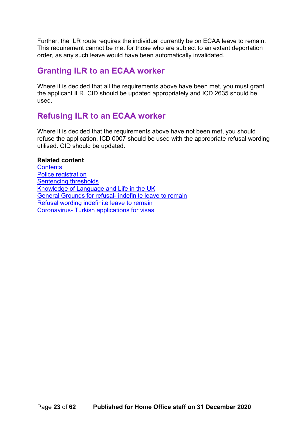Further, the ILR route requires the individual currently be on ECAA leave to remain. This requirement cannot be met for those who are subject to an extant deportation order, as any such leave would have been automatically invalidated.

#### <span id="page-22-0"></span>**Granting ILR to an ECAA worker**

Where it is decided that all the requirements above have been met, you must grant the applicant ILR. CID should be updated appropriately and ICD 2635 should be used.

#### <span id="page-22-1"></span>**Refusing ILR to an ECAA worker**

Where it is decided that the requirements above have not been met, you should refuse the application. ICD 0007 should be used with the appropriate refusal wording utilised. CID should be updated.

#### **Related content**

**[Contents](#page-1-0)** [Police registration](https://www.gov.uk/government/publications/police-registration) [Sentencing thresholds](https://www.gov.uk/government/uploads/system/uploads/attachment_data/file/673998/GGFR-Section-1-v29.0-EXT.PDF) [Knowledge of Language and Life in the UK](https://www.gov.uk/government/publications/knowledge-of-life-and-language-in-the-uk) [General Grounds for refusal-](https://www.gov.uk/government/collections/general-grounds-for-refusal-modernised-guidance) indefinite leave to remain [Refusal wording indefinite leave to remain](#page-51-0) Coronavirus- Turkish applications for visas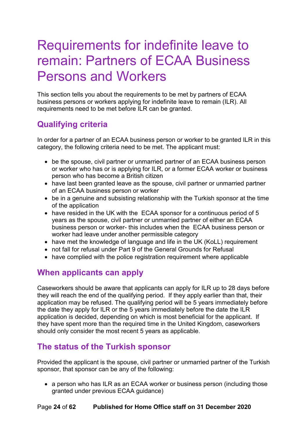# <span id="page-23-0"></span>Requirements for indefinite leave to remain: Partners of ECAA Business Persons and Workers

This section tells you about the requirements to be met by partners of ECAA business persons or workers applying for indefinite leave to remain (ILR). All requirements need to be met before ILR can be granted.

## <span id="page-23-1"></span>**Qualifying criteria**

In order for a partner of an ECAA business person or worker to be granted ILR in this category, the following criteria need to be met. The applicant must:

- be the spouse, civil partner or unmarried partner of an ECAA business person or worker who has or is applying for ILR, or a former ECAA worker or business person who has become a British citizen
- have last been granted leave as the spouse, civil partner or unmarried partner of an ECAA business person or worker
- be in a genuine and subsisting relationship with the Turkish sponsor at the time of the application
- have resided in the UK with the ECAA sponsor for a continuous period of 5 years as the spouse, civil partner or unmarried partner of either an ECAA business person or worker- this includes when the ECAA business person or worker had leave under another permissible category
- have met the knowledge of language and life in the UK (KoLL) requirement
- not fall for refusal under Part 9 of the General Grounds for Refusal
- have complied with the police registration requirement where applicable

#### <span id="page-23-2"></span>**When applicants can apply**

Caseworkers should be aware that applicants can apply for ILR up to 28 days before they will reach the end of the qualifying period. If they apply earlier than that, their application may be refused. The qualifying period will be 5 years immediately before the date they apply for ILR or the 5 years immediately before the date the ILR application is decided, depending on which is most beneficial for the applicant. If they have spent more than the required time in the United Kingdom, caseworkers should only consider the most recent 5 years as applicable.

#### **The status of the Turkish sponsor**

Provided the applicant is the spouse, civil partner or unmarried partner of the Turkish sponsor, that sponsor can be any of the following:

• a person who has ILR as an ECAA worker or business person (including those granted under previous ECAA guidance)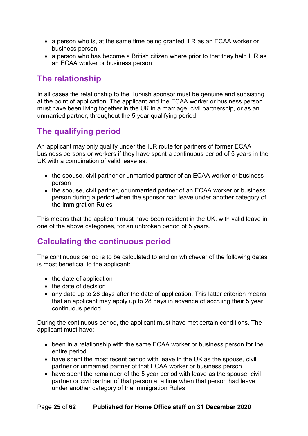- a person who is, at the same time being granted ILR as an ECAA worker or business person
- a person who has become a British citizen where prior to that they held ILR as an ECAA worker or business person

#### <span id="page-24-0"></span>**The relationship**

In all cases the relationship to the Turkish sponsor must be genuine and subsisting at the point of application. The applicant and the ECAA worker or business person must have been living together in the UK in a marriage, civil partnership, or as an unmarried partner, throughout the 5 year qualifying period.

### <span id="page-24-1"></span>**The qualifying period**

An applicant may only qualify under the ILR route for partners of former ECAA business persons or workers if they have spent a continuous period of 5 years in the UK with a combination of valid leave as:

- the spouse, civil partner or unmarried partner of an ECAA worker or business person
- the spouse, civil partner, or unmarried partner of an ECAA worker or business person during a period when the sponsor had leave under another category of the Immigration Rules

This means that the applicant must have been resident in the UK, with valid leave in one of the above categories, for an unbroken period of 5 years.

### <span id="page-24-2"></span>**Calculating the continuous period**

The continuous period is to be calculated to end on whichever of the following dates is most beneficial to the applicant:

- the date of application
- the date of decision
- any date up to 28 days after the date of application. This latter criterion means that an applicant may apply up to 28 days in advance of accruing their 5 year continuous period

During the continuous period, the applicant must have met certain conditions. The applicant must have:

- been in a relationship with the same ECAA worker or business person for the entire period
- have spent the most recent period with leave in the UK as the spouse, civil partner or unmarried partner of that ECAA worker or business person
- have spent the remainder of the 5 year period with leave as the spouse, civil partner or civil partner of that person at a time when that person had leave under another category of the Immigration Rules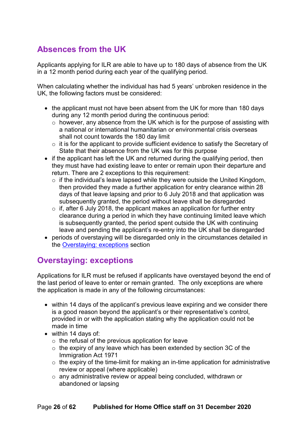### <span id="page-25-0"></span>**Absences from the UK**

Applicants applying for ILR are able to have up to 180 days of absence from the UK in a 12 month period during each year of the qualifying period.

When calculating whether the individual has had 5 years' unbroken residence in the UK, the following factors must be considered:

- the applicant must not have been absent from the UK for more than 180 days during any 12 month period during the continuous period:
	- $\circ$  however, any absence from the UK which is for the purpose of assisting with a national or international humanitarian or environmental crisis overseas shall not count towards the 180 day limit
	- $\circ$  it is for the applicant to provide sufficient evidence to satisfy the Secretary of State that their absence from the UK was for this purpose
- if the applicant has left the UK and returned during the qualifying period, then they must have had existing leave to enter or remain upon their departure and return. There are 2 exceptions to this requirement:
	- $\circ$  if the individual's leave lapsed while they were outside the United Kingdom, then provided they made a further application for entry clearance within 28 days of that leave lapsing and prior to 6 July 2018 and that application was subsequently granted, the period without leave shall be disregarded
	- $\circ$  if, after 6 July 2018, the applicant makes an application for further entry clearance during a period in which they have continuing limited leave which is subsequently granted, the period spent outside the UK with continuing leave and pending the applicant's re-entry into the UK shall be disregarded
- periods of overstaying will be disregarded only in the circumstances detailed in the [Overstaying: exceptions](#page-20-0) section

### <span id="page-25-1"></span>**Overstaying: exceptions**

Applications for ILR must be refused if applicants have overstayed beyond the end of the last period of leave to enter or remain granted. The only exceptions are where the application is made in any of the following circumstances:

- within 14 days of the applicant's previous leave expiring and we consider there is a good reason beyond the applicant's or their representative's control, provided in or with the application stating why the application could not be made in time
- within 14 days of:
	- $\circ$  the refusal of the previous application for leave
	- o the expiry of any leave which has been extended by section 3C of the Immigration Act 1971
	- $\circ$  the expiry of the time-limit for making an in-time application for administrative review or appeal (where applicable)
	- o any administrative review or appeal being concluded, withdrawn or abandoned or lapsing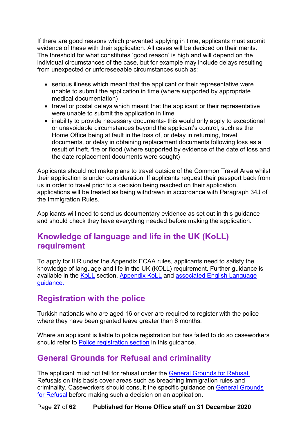If there are good reasons which prevented applying in time, applicants must submit evidence of these with their application. All cases will be decided on their merits. The threshold for what constitutes 'good reason' is high and will depend on the individual circumstances of the case, but for example may include delays resulting from unexpected or unforeseeable circumstances such as:

- serious illness which meant that the applicant or their representative were unable to submit the application in time (where supported by appropriate medical documentation)
- travel or postal delays which meant that the applicant or their representative were unable to submit the application in time
- inability to provide necessary documents- this would only apply to exceptional or unavoidable circumstances beyond the applicant's control, such as the Home Office being at fault in the loss of, or delay in returning, travel documents, or delay in obtaining replacement documents following loss as a result of theft, fire or flood (where supported by evidence of the date of loss and the date replacement documents were sought)

Applicants should not make plans to travel outside of the Common Travel Area whilst their application is under consideration. If applicants request their passport back from us in order to travel prior to a decision being reached on their application, applications will be treated as being withdrawn in accordance with Paragraph 34J of the Immigration Rules.

Applicants will need to send us documentary evidence as set out in this guidance and should check they have everything needed before making the application.

#### <span id="page-26-0"></span>**Knowledge of language and life in the UK (KoLL) requirement**

To apply for ILR under the Appendix ECAA rules, applicants need to satisfy the knowledge of language and life in the UK (KOLL) requirement. Further guidance is available in the [KoLL](#page-32-0) section, [Appendix KoLL](https://www.gov.uk/guidance/immigration-rules/immigration-rules-appendix-koll) and [associated English Language](https://www.gov.uk/government/publications/knowledge-of-life-and-language-in-the-uk)  [guidance.](https://www.gov.uk/government/publications/knowledge-of-life-and-language-in-the-uk)

#### <span id="page-26-1"></span>**Registration with the police**

Turkish nationals who are aged 16 or over are required to register with the police where they have been granted leave greater than 6 months.

Where an applicant is liable to police registration but has failed to do so caseworkers should refer to [Police registration section](#page-35-0) in this guidance.

#### <span id="page-26-2"></span>**General Grounds for Refusal and criminality**

The applicant must not fall for refusal under the [General Grounds for](https://www.gov.uk/government/publications/general-grounds-for-refusal-considering-leave-to-remain) Refusal. Refusals on this basis cover areas such as breaching immigration rules and criminality. Caseworkers should consult the specific guidance on [General Grounds](#page-34-0)  for [Refusal](#page-34-0) before making such a decision on an application.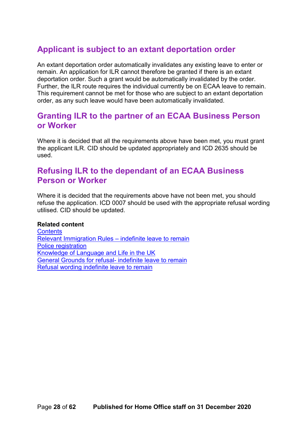### <span id="page-27-0"></span>**Applicant is subject to an extant deportation order**

An extant deportation order automatically invalidates any existing leave to enter or remain. An application for ILR cannot therefore be granted if there is an extant deportation order. Such a grant would be automatically invalidated by the order. Further, the ILR route requires the individual currently be on ECAA leave to remain. This requirement cannot be met for those who are subject to an extant deportation order, as any such leave would have been automatically invalidated.

#### <span id="page-27-1"></span>**Granting ILR to the partner of an ECAA Business Person or Worker**

Where it is decided that all the requirements above have been met, you must grant the applicant ILR. CID should be updated appropriately and ICD 2635 should be used.

#### <span id="page-27-2"></span>**Refusing ILR to the dependant of an ECAA Business Person or Worker**

Where it is decided that the requirements above have not been met, you should refuse the application. ICD 0007 should be used with the appropriate refusal wording utilised. CID should be updated.

#### **Related content**

**[Contents](#page-1-0)** [Relevant Immigration Rules –](#page-12-1) indefinite leave to remain [Police registration](https://www.gov.uk/government/publications/police-registration) [Knowledge of Language and Life in the UK](https://www.gov.uk/government/publications/knowledge-of-life-and-language-in-the-uk) [General Grounds for refusal-](https://www.gov.uk/government/collections/general-grounds-for-refusal-modernised-guidance) indefinite leave to remain [Refusal wording indefinite leave to remain](#page-51-0)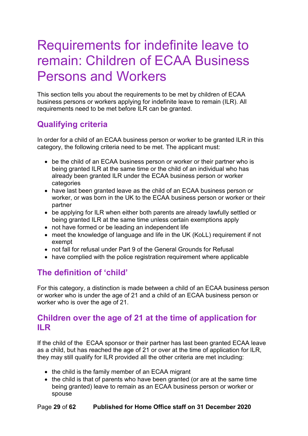# <span id="page-28-0"></span>Requirements for indefinite leave to remain: Children of ECAA Business Persons and Workers

This section tells you about the requirements to be met by children of ECAA business persons or workers applying for indefinite leave to remain (ILR). All requirements need to be met before ILR can be granted.

## <span id="page-28-1"></span>**Qualifying criteria**

In order for a child of an ECAA business person or worker to be granted ILR in this category, the following criteria need to be met. The applicant must:

- be the child of an ECAA business person or worker or their partner who is being granted ILR at the same time or the child of an individual who has already been granted ILR under the ECAA business person or worker categories
- have last been granted leave as the child of an ECAA business person or worker, or was born in the UK to the ECAA business person or worker or their partner
- be applying for ILR when either both parents are already lawfully settled or being granted ILR at the same time unless certain exemptions apply
- not have formed or be leading an independent life
- meet the knowledge of language and life in the UK (KoLL) requirement if not exempt
- not fall for refusal under Part 9 of the General Grounds for Refusal
- have complied with the police registration requirement where applicable

### **The definition of 'child'**

For this category, a distinction is made between a child of an ECAA business person or worker who is under the age of 21 and a child of an ECAA business person or worker who is over the age of 21.

#### **Children over the age of 21 at the time of application for ILR**

If the child of the ECAA sponsor or their partner has last been granted ECAA leave as a child, but has reached the age of 21 or over at the time of application for ILR, they may still qualify for ILR provided all the other criteria are met including:

- the child is the family member of an ECAA migrant
- the child is that of parents who have been granted (or are at the same time being granted) leave to remain as an ECAA business person or worker or spouse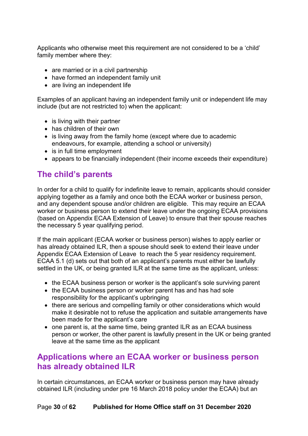Applicants who otherwise meet this requirement are not considered to be a 'child' family member where they:

- are married or in a civil partnership
- have formed an independent family unit
- are living an independent life

Examples of an applicant having an independent family unit or independent life may include (but are not restricted to) when the applicant:

- is living with their partner
- has children of their own
- is living away from the family home (except where due to academic endeavours, for example, attending a school or university)
- is in full time employment
- appears to be financially independent (their income exceeds their expenditure)

#### **The child's parents**

In order for a child to qualify for indefinite leave to remain, applicants should consider applying together as a family and once both the ECAA worker or business person, and any dependent spouse and/or children are eligible. This may require an ECAA worker or business person to extend their leave under the ongoing ECAA provisions (based on Appendix ECAA Extension of Leave) to ensure that their spouse reaches the necessary 5 year qualifying period.

If the main applicant (ECAA worker or business person) wishes to apply earlier or has already obtained ILR, then a spouse should seek to extend their leave under Appendix ECAA Extension of Leave to reach the 5 year residency requirement. ECAA 5.1 (d) sets out that both of an applicant's parents must either be lawfully settled in the UK, or being granted ILR at the same time as the applicant, unless:

- the ECAA business person or worker is the applicant's sole surviving parent
- the ECAA business person or worker parent has and has had sole responsibility for the applicant's upbringing
- there are serious and compelling family or other considerations which would make it desirable not to refuse the application and suitable arrangements have been made for the applicant's care
- one parent is, at the same time, being granted ILR as an ECAA business person or worker, the other parent is lawfully present in the UK or being granted leave at the same time as the applicant

#### <span id="page-29-0"></span>**Applications where an ECAA worker or business person has already obtained ILR**

In certain circumstances, an ECAA worker or business person may have already obtained ILR (including under pre 16 March 2018 policy under the ECAA) but an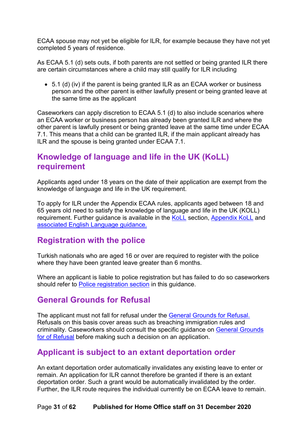ECAA spouse may not yet be eligible for ILR, for example because they have not yet completed 5 years of residence.

As ECAA 5.1 (d) sets outs, if both parents are not settled or being granted ILR there are certain circumstances where a child may still qualify for ILR including

• 5.1 (d) (iv) if the parent is being granted ILR as an ECAA worker or business person and the other parent is either lawfully present or being granted leave at the same time as the applicant

Caseworkers can apply discretion to ECAA 5.1 (d) to also include scenarios where an ECAA worker or business person has already been granted ILR and where the other parent is lawfully present or being granted leave at the same time under ECAA 7.1. This means that a child can be granted ILR, if the main applicant already has ILR and the spouse is being granted under ECAA 7.1.

#### <span id="page-30-0"></span>**Knowledge of language and life in the UK (KoLL) requirement**

Applicants aged under 18 years on the date of their application are exempt from the knowledge of language and life in the UK requirement.

To apply for ILR under the Appendix ECAA rules, applicants aged between 18 and 65 years old need to satisfy the knowledge of language and life in the UK (KOLL) requirement. Further guidance is available in the [KoLL](#page-32-0) section, [Appendix KoLL](https://www.gov.uk/guidance/immigration-rules/immigration-rules-appendix-koll) and [associated English Language guidance.](https://www.gov.uk/government/publications/knowledge-of-life-and-language-in-the-uk)

#### <span id="page-30-1"></span>**Registration with the police**

Turkish nationals who are aged 16 or over are required to register with the police where they have been granted leave greater than 6 months.

Where an applicant is liable to police registration but has failed to do so caseworkers should refer to [Police registration section](#page-35-0) in this guidance.

#### <span id="page-30-2"></span>**General Grounds for Refusal**

The applicant must not fall for refusal under the [General Grounds for](https://www.gov.uk/government/publications/general-grounds-for-refusal-considering-leave-to-remain) Refusal. Refusals on this basis cover areas such as breaching immigration rules and criminality. Caseworkers should consult the specific guidance on [General Grounds](#page-34-0)  [for of Refusal](#page-34-0) before making such a decision on an application.

#### <span id="page-30-3"></span>**Applicant is subject to an extant deportation order**

An extant deportation order automatically invalidates any existing leave to enter or remain. An application for ILR cannot therefore be granted if there is an extant deportation order. Such a grant would be automatically invalidated by the order. Further, the ILR route requires the individual currently be on ECAA leave to remain.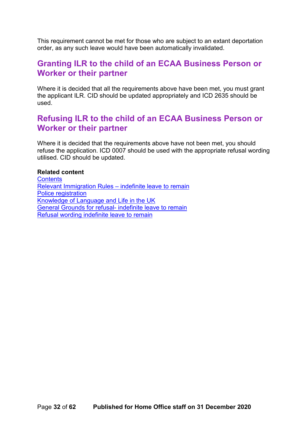This requirement cannot be met for those who are subject to an extant deportation order, as any such leave would have been automatically invalidated.

#### <span id="page-31-0"></span>**Granting ILR to the child of an ECAA Business Person or Worker or their partner**

Where it is decided that all the requirements above have been met, you must grant the applicant ILR. CID should be updated appropriately and ICD 2635 should be used.

#### <span id="page-31-1"></span>**Refusing ILR to the child of an ECAA Business Person or Worker or their partner**

Where it is decided that the requirements above have not been met, you should refuse the application. ICD 0007 should be used with the appropriate refusal wording utilised. CID should be updated.

#### **Related content**

<span id="page-31-2"></span>**[Contents](#page-1-0)** [Relevant Immigration Rules –](#page-12-1) indefinite leave to remain [Police registration](https://www.gov.uk/government/publications/police-registration) [Knowledge of Language and Life in the UK](https://www.gov.uk/government/publications/knowledge-of-life-and-language-in-the-uk) [General Grounds for refusal-](https://www.gov.uk/government/collections/general-grounds-for-refusal-modernised-guidance) indefinite leave to remain [Refusal wording indefinite leave to remain](#page-51-0)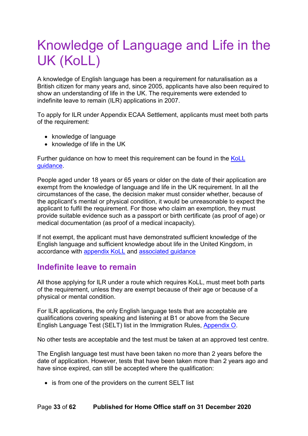# <span id="page-32-0"></span>Knowledge of Language and Life in the UK (KoLL)

A knowledge of English language has been a requirement for naturalisation as a British citizen for many years and, since 2005, applicants have also been required to show an understanding of life in the UK. The requirements were extended to indefinite leave to remain (ILR) applications in 2007.

To apply for ILR under Appendix ECAA Settlement, applicants must meet both parts of the requirement:

- knowledge of language
- knowledge of life in the UK

Further guidance on how to meet this requirement can be found in the [KoLL](https://www.gov.uk/government/publications/knowledge-of-life-and-language-in-the-uk)  [guidance.](https://www.gov.uk/government/publications/knowledge-of-life-and-language-in-the-uk)

People aged under 18 years or 65 years or older on the date of their application are exempt from the knowledge of language and life in the UK requirement. In all the circumstances of the case, the decision maker must consider whether, because of the applicant's mental or physical condition, it would be unreasonable to expect the applicant to fulfil the requirement. For those who claim an exemption, they must provide suitable evidence such as a passport or birth certificate (as proof of age) or medical documentation (as proof of a medical incapacity).

If not exempt, the applicant must have demonstrated sufficient knowledge of the English language and sufficient knowledge about life in the United Kingdom, in accordance with [appendix KoLL](https://www.gov.uk/guidance/immigration-rules/immigration-rules-appendix-koll) and [associated guidance](https://www.gov.uk/government/publications/knowledge-of-life-and-language-in-the-uk)

#### <span id="page-32-1"></span>**Indefinite leave to remain**

All those applying for ILR under a route which requires KoLL, must meet both parts of the requirement, unless they are exempt because of their age or because of a physical or mental condition.

For ILR applications, the only English language tests that are acceptable are qualifications covering speaking and listening at B1 or above from the Secure English Language Test (SELT) list in the Immigration Rules, [Appendix O.](https://www.gov.uk/guidance/immigration-rules/immigration-rules-appendix-o-approved-english-language-tests)

No other tests are acceptable and the test must be taken at an approved test centre.

The English language test must have been taken no more than 2 years before the date of application. However, tests that have been taken more than 2 years ago and have since expired, can still be accepted where the qualification:

• is from one of the providers on the current SELT list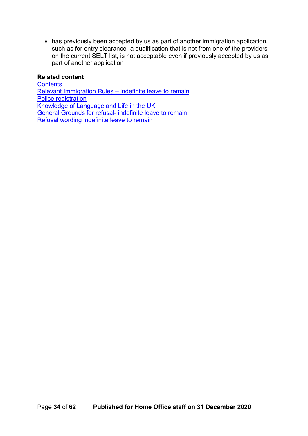• has previously been accepted by us as part of another immigration application, such as for entry clearance- a qualification that is not from one of the providers on the current SELT list, is not acceptable even if previously accepted by us as part of another application

#### **Related content**

**[Contents](#page-1-0)** [Relevant Immigration Rules –](#page-12-1) indefinite leave to remain [Police registration](https://www.gov.uk/government/publications/police-registration) [Knowledge of Language and Life in the UK](https://www.gov.uk/government/publications/knowledge-of-life-and-language-in-the-uk) General Grounds for refusal- [indefinite leave to remain](https://www.gov.uk/government/collections/general-grounds-for-refusal-modernised-guidance) [Refusal wording indefinite leave to remain](#page-51-0)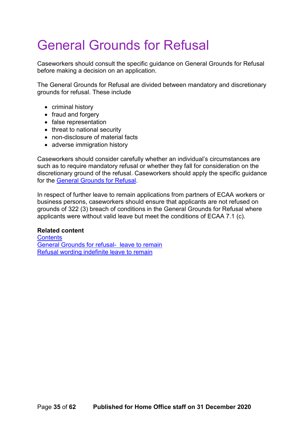# <span id="page-34-0"></span>General Grounds for Refusal

Caseworkers should consult the specific guidance on General Grounds for Refusal before making a decision on an application.

The General Grounds for Refusal are divided between mandatory and discretionary grounds for refusal. These include

- criminal history
- fraud and forgery
- false representation
- threat to national security
- non-disclosure of material facts
- adverse immigration history

Caseworkers should consider carefully whether an individual's circumstances are such as to require mandatory refusal or whether they fall for consideration on the discretionary ground of the refusal. Caseworkers should apply the specific guidance for the [General Grounds for Refusal.](https://www.gov.uk/government/collections/general-grounds-for-refusal-modernised-guidance)

In respect of further leave to remain applications from partners of ECAA workers or business persons, caseworkers should ensure that applicants are not refused on grounds of 322 (3) breach of conditions in the General Grounds for Refusal where applicants were without valid leave but meet the conditions of ECAA 7.1 (c).

#### **Related content**

**[Contents](#page-1-0)** [General Grounds for refusal- leave to remain](https://www.gov.uk/government/collections/general-grounds-for-refusal-modernised-guidance) [Refusal wording indefinite leave to remain](#page-51-0)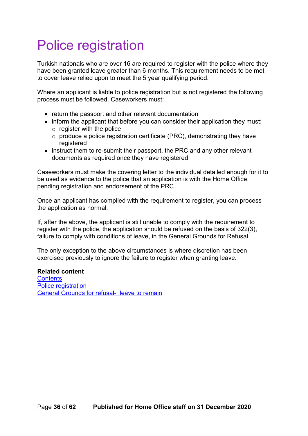# <span id="page-35-0"></span>Police registration

Turkish nationals who are over 16 are required to register with the police where they have been granted leave greater than 6 months. This requirement needs to be met to cover leave relied upon to meet the 5 year qualifying period.

Where an applicant is liable to police registration but is not registered the following process must be followed. Caseworkers must:

- return the passport and other relevant documentation
- inform the applicant that before you can consider their application they must:
	- $\circ$  register with the police
	- $\circ$  produce a police registration certificate (PRC), demonstrating they have registered
- instruct them to re-submit their passport, the PRC and any other relevant documents as required once they have registered

Caseworkers must make the covering letter to the individual detailed enough for it to be used as evidence to the police that an application is with the Home Office pending registration and endorsement of the PRC.

Once an applicant has complied with the requirement to register, you can process the application as normal.

If, after the above, the applicant is still unable to comply with the requirement to register with the police, the application should be refused on the basis of 322(3), failure to comply with conditions of leave, in the General Grounds for Refusal.

The only exception to the above circumstances is where discretion has been exercised previously to ignore the failure to register when granting leave.

**Related content [Contents](#page-1-0)** [Police registration](https://www.gov.uk/government/publications/police-registration) [General Grounds for refusal- leave to remain](https://www.gov.uk/government/collections/general-grounds-for-refusal-modernised-guidance)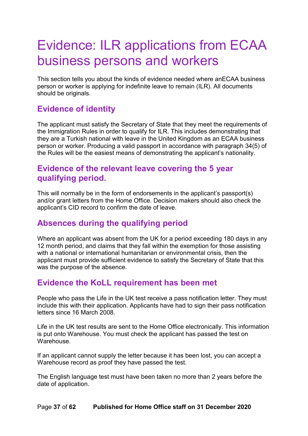## <span id="page-36-0"></span>Evidence: ILR applications from ECAA business persons and workers

This section tells you about the kinds of evidence needed where anECAA business person or worker is applying for indefinite leave to remain (ILR). All documents should be originals.

### **Evidence of identity**

The applicant must satisfy the Secretary of State that they meet the requirements of the Immigration Rules in order to qualify for ILR. This includes demonstrating that they are a Turkish national with leave in the United Kingdom as an ECAA business person or worker. Producing a valid passport in accordance with paragraph 34(5) of the Rules will be the easiest means of demonstrating the applicant's nationality.

#### **Evidence of the relevant leave covering the 5 year qualifying period.**

This will normally be in the form of endorsements in the applicant's passport(s) and/or grant letters from the Home Office. Decision makers should also check the applicant's CID record to confirm the date of leave.

#### **Absences during the qualifying period**

Where an applicant was absent from the UK for a period exceeding 180 days in any 12 month period, and claims that they fall within the exemption for those assisting with a national or international humanitarian or environmental crisis, then the applicant must provide sufficient evidence to satisfy the Secretary of State that this was the purpose of the absence.

#### **Evidence the KoLL requirement has been met**

People who pass the Life in the UK test receive a pass notification letter. They must include this with their application. Applicants have had to sign their pass notification letters since 16 March 2008.

Life in the UK test results are sent to the Home Office electronically. This information is put onto Warehouse. You must check the applicant has passed the test on Warehouse.

If an applicant cannot supply the letter because it has been lost, you can accept a Warehouse record as proof they have passed the test.

The English language test must have been taken no more than 2 years before the date of application.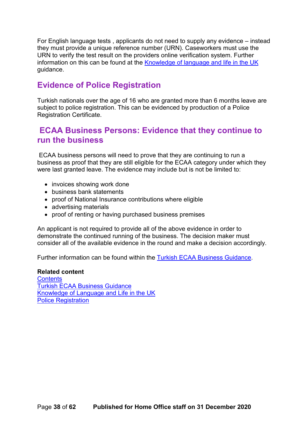For English language tests , applicants do not need to supply any evidence – instead they must provide a unique reference number (URN). Caseworkers must use the URN to verify the test result on the providers online verification system. Further information on this can be found at the [Knowledge of language and life in the UK](https://www.gov.uk/government/publications/knowledge-of-life-and-language-in-the-uk) guidance.

### **Evidence of Police Registration**

Turkish nationals over the age of 16 who are granted more than 6 months leave are subject to police registration. This can be evidenced by production of a Police Registration Certificate.

#### **ECAA Business Persons: Evidence that they continue to run the business**

ECAA business persons will need to prove that they are continuing to run a business as proof that they are still eligible for the ECAA category under which they were last granted leave. The evidence may include but is not be limited to:

- invoices showing work done
- business bank statements
- proof of National Insurance contributions where eligible
- advertising materials
- proof of renting or having purchased business premises

An applicant is not required to provide all of the above evidence in order to demonstrate the continued running of the business. The decision maker must consider all of the available evidence in the round and make a decision accordingly.

Further information can be found within the [Turkish ECAA Business Guidance.](https://www.gov.uk/government/publications/turkish-ecaa-business-guidance)

#### **Related content [Contents](#page-1-0)** [Turkish ECAA Business Guidance](https://www.gov.uk/government/publications/turkish-ecaa-business-guidance) [Knowledge of Language and Life in the UK](https://www.gov.uk/government/publications/knowledge-of-life-and-language-in-the-uk) [Police Registration](https://www.gov.uk/government/publications/police-registration)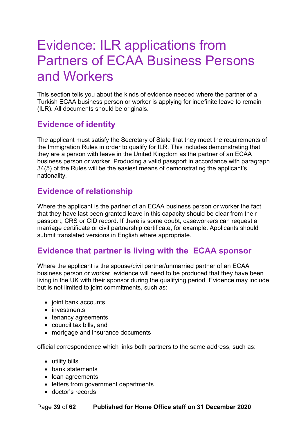# <span id="page-38-0"></span>Evidence: ILR applications from Partners of ECAA Business Persons and Workers

This section tells you about the kinds of evidence needed where the partner of a Turkish ECAA business person or worker is applying for indefinite leave to remain (ILR). All documents should be originals.

## **Evidence of identity**

The applicant must satisfy the Secretary of State that they meet the requirements of the Immigration Rules in order to qualify for ILR. This includes demonstrating that they are a person with leave in the United Kingdom as the partner of an ECAA business person or worker. Producing a valid passport in accordance with paragraph 34(5) of the Rules will be the easiest means of demonstrating the applicant's nationality.

#### **Evidence of relationship**

Where the applicant is the partner of an ECAA business person or worker the fact that they have last been granted leave in this capacity should be clear from their passport, CRS or CID record. If there is some doubt, caseworkers can request a marriage certificate or civil partnership certificate, for example. Applicants should submit translated versions in English where appropriate.

#### **Evidence that partner is living with the ECAA sponsor**

Where the applicant is the spouse/civil partner/unmarried partner of an ECAA business person or worker, evidence will need to be produced that they have been living in the UK with their sponsor during the qualifying period. Evidence may include but is not limited to joint commitments, such as:

- joint bank accounts
- investments
- tenancy agreements
- council tax bills, and
- mortgage and insurance documents

official correspondence which links both partners to the same address, such as:

- utility bills
- bank statements
- loan agreements
- letters from government departments
- doctor's records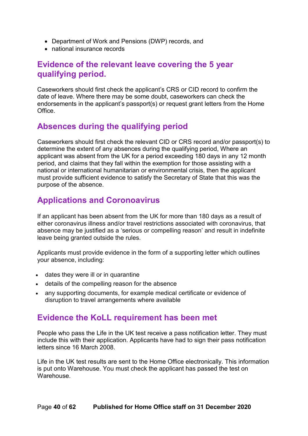- Department of Work and Pensions (DWP) records, and
- national insurance records

#### **Evidence of the relevant leave covering the 5 year qualifying period.**

Caseworkers should first check the applicant's CRS or CID record to confirm the date of leave. Where there may be some doubt, caseworkers can check the endorsements in the applicant's passport(s) or request grant letters from the Home Office.

### **Absences during the qualifying period**

Caseworkers should first check the relevant CID or CRS record and/or passport(s) to determine the extent of any absences during the qualifying period, Where an applicant was absent from the UK for a period exceeding 180 days in any 12 month period, and claims that they fall within the exemption for those assisting with a national or international humanitarian or environmental crisis, then the applicant must provide sufficient evidence to satisfy the Secretary of State that this was the purpose of the absence.

### <span id="page-39-0"></span>**Applications and Coronoavirus**

If an applicant has been absent from the UK for more than 180 days as a result of either coronavirus illness and/or travel restrictions associated with coronavirus, that absence may be justified as a 'serious or compelling reason' and result in indefinite leave being granted outside the rules.

Applicants must provide evidence in the form of a supporting letter which outlines your absence, including:

- dates they were ill or in quarantine
- details of the compelling reason for the absence
- any supporting documents, for example medical certificate or evidence of disruption to travel arrangements where available

#### **Evidence the KoLL requirement has been met**

People who pass the Life in the UK test receive a pass notification letter. They must include this with their application. Applicants have had to sign their pass notification letters since 16 March 2008.

Life in the UK test results are sent to the Home Office electronically. This information is put onto Warehouse. You must check the applicant has passed the test on Warehouse.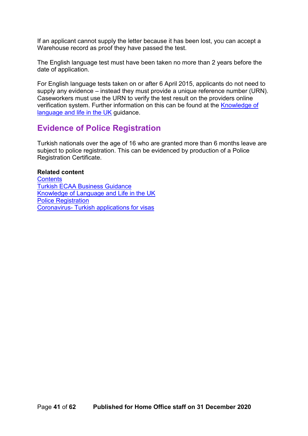If an applicant cannot supply the letter because it has been lost, you can accept a Warehouse record as proof they have passed the test.

The English language test must have been taken no more than 2 years before the date of application.

For English language tests taken on or after 6 April 2015, applicants do not need to supply any evidence – instead they must provide a unique reference number (URN). Caseworkers must use the URN to verify the test result on the providers online verification system. Further information on this can be found at the [Knowledge of](https://www.gov.uk/government/publications/knowledge-of-life-and-language-in-the-uk)  [language and life in the UK](https://www.gov.uk/government/publications/knowledge-of-life-and-language-in-the-uk) guidance.

#### **Evidence of Police Registration**

Turkish nationals over the age of 16 who are granted more than 6 months leave are subject to police registration. This can be evidenced by production of a Police Registration Certificate.

#### **Related content**

**[Contents](#page-1-0)** [Turkish ECAA Business Guidance](https://www.gov.uk/government/publications/turkish-ecaa-business-guidance) [Knowledge of Language and Life in the UK](https://www.gov.uk/government/publications/knowledge-of-life-and-language-in-the-uk) [Police Registration](https://www.gov.uk/government/publications/police-registration) Coronavirus- Turkish applications for visas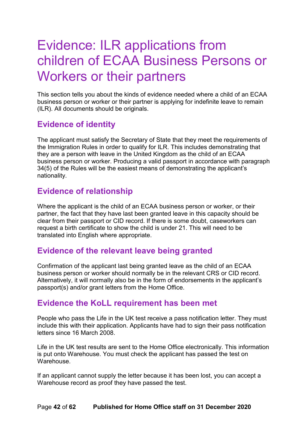# <span id="page-41-0"></span>Evidence: ILR applications from children of ECAA Business Persons or Workers or their partners

This section tells you about the kinds of evidence needed where a child of an ECAA business person or worker or their partner is applying for indefinite leave to remain (ILR). All documents should be originals.

### **Evidence of identity**

The applicant must satisfy the Secretary of State that they meet the requirements of the Immigration Rules in order to qualify for ILR. This includes demonstrating that they are a person with leave in the United Kingdom as the child of an ECAA business person or worker. Producing a valid passport in accordance with paragraph 34(5) of the Rules will be the easiest means of demonstrating the applicant's nationality.

#### **Evidence of relationship**

Where the applicant is the child of an ECAA business person or worker, or their partner, the fact that they have last been granted leave in this capacity should be clear from their passport or CID record. If there is some doubt, caseworkers can request a birth certificate to show the child is under 21. This will need to be translated into English where appropriate.

#### **Evidence of the relevant leave being granted**

Confirmation of the applicant last being granted leave as the child of an ECAA business person or worker should normally be in the relevant CRS or CID record. Alternatively, it will normally also be in the form of endorsements in the applicant's passport(s) and/or grant letters from the Home Office.

#### **Evidence the KoLL requirement has been met**

People who pass the Life in the UK test receive a pass notification letter. They must include this with their application. Applicants have had to sign their pass notification letters since 16 March 2008.

Life in the UK test results are sent to the Home Office electronically. This information is put onto Warehouse. You must check the applicant has passed the test on **Warehouse** 

If an applicant cannot supply the letter because it has been lost, you can accept a Warehouse record as proof they have passed the test.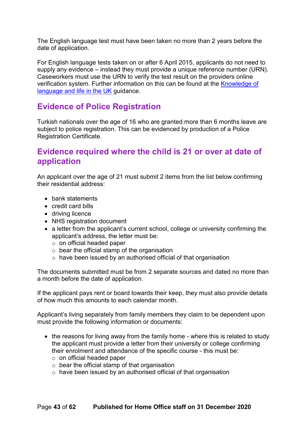The English language test must have been taken no more than 2 years before the date of application.

For English language tests taken on or after 6 April 2015, applicants do not need to supply any evidence – instead they must provide a unique reference number (URN). Caseworkers must use the URN to verify the test result on the providers online verification system. Further information on this can be found at the [Knowledge of](https://www.gov.uk/government/publications/knowledge-of-life-and-language-in-the-uk)  [language and life in the UK](https://www.gov.uk/government/publications/knowledge-of-life-and-language-in-the-uk) guidance.

#### **Evidence of Police Registration**

Turkish nationals over the age of 16 who are granted more than 6 months leave are subject to police registration. This can be evidenced by production of a Police Registration Certificate.

#### **Evidence required where the child is 21 or over at date of application**

An applicant over the age of 21 must submit 2 items from the list below confirming their residential address:

- bank statements
- credit card bills
- driving licence
- NHS registration document
- a letter from the applicant's current school, college or university confirming the applicant's address, the letter must be:
	- o on official headed paper
	- $\circ$  bear the official stamp of the organisation
	- o have been issued by an authorised official of that organisation

The documents submitted must be from 2 separate sources and dated no more than a month before the date of application.

If the applicant pays rent or board towards their keep, they must also provide details of how much this amounts to each calendar month.

Applicant's living separately from family members they claim to be dependent upon must provide the following information or documents:

- the reasons for living away from the family home where this is related to study the applicant must provide a letter from their university or college confirming their enrolment and attendance of the specific course - this must be:
	- o on official headed paper
	- $\circ$  bear the official stamp of that organisation
	- o have been issued by an authorised official of that organisation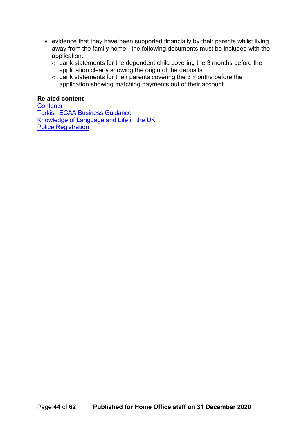- evidence that they have been supported financially by their parents whilst living away from the family home - the following documents must be included with the application:
	- o bank statements for the dependent child covering the 3 months before the application clearly showing the origin of the deposits
	- o bank statements for their parents covering the 3 months before the application showing matching payments out of their account

#### **Related content**

**[Contents](#page-1-0)** [Turkish ECAA Business Guidance](https://www.gov.uk/government/publications/turkish-ecaa-business-guidance) [Knowledge of Language and Life in the](https://www.gov.uk/government/publications/knowledge-of-life-and-language-in-the-uk) UK [Police Registration](https://www.gov.uk/government/publications/police-registration)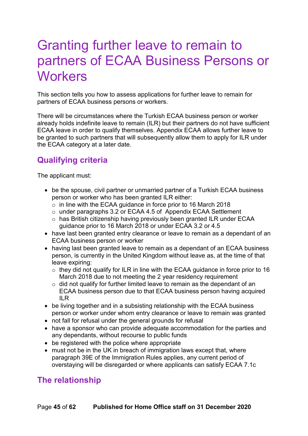## <span id="page-44-0"></span>Granting further leave to remain to partners of ECAA Business Persons or **Workers**

This section tells you how to assess applications for further leave to remain for partners of ECAA business persons or workers.

There will be circumstances where the Turkish ECAA business person or worker already holds indefinite leave to remain (ILR) but their partners do not have sufficient ECAA leave in order to qualify themselves. Appendix ECAA allows further leave to be granted to such partners that will subsequently allow them to apply for ILR under the ECAA category at a later date.

## <span id="page-44-1"></span>**Qualifying criteria**

The applicant must:

- be the spouse, civil partner or unmarried partner of a Turkish ECAA business person or worker who has been granted ILR either:
	- o in line with the ECAA guidance in force prior to 16 March 2018
	- o under paragraphs 3.2 or ECAA 4.5 of Appendix ECAA Settlement
	- o has British citizenship having previously been granted ILR under ECAA guidance prior to 16 March 2018 or under ECAA 3.2 or 4.5
- have last been granted entry clearance or leave to remain as a dependant of an ECAA business person or worker
- having last been granted leave to remain as a dependant of an ECAA business person, is currently in the United Kingdom without leave as, at the time of that leave expiring:
	- $\circ$  they did not qualify for ILR in line with the ECAA guidance in force prior to 16 March 2018 due to not meeting the 2 year residency requirement
	- $\circ$  did not qualify for further limited leave to remain as the dependant of an ECAA business person due to that ECAA business person having acquired ILR
- be living together and in a subsisting relationship with the ECAA business person or worker under whom entry clearance or leave to remain was granted
- not fall for refusal under the general grounds for refusal
- have a sponsor who can provide adequate accommodation for the parties and any dependants, without recourse to public funds
- be registered with the police where appropriate
- must not be in the UK in breach of immigration laws except that, where paragraph 39E of the Immigration Rules applies, any current period of overstaying will be disregarded or where applicants can satisfy ECAA 7.1c

#### <span id="page-44-2"></span>**The relationship**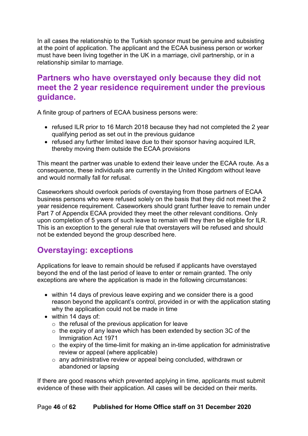In all cases the relationship to the Turkish sponsor must be genuine and subsisting at the point of application. The applicant and the ECAA business person or worker must have been living together in the UK in a marriage, civil partnership, or in a relationship similar to marriage.

#### <span id="page-45-0"></span>**Partners who have overstayed only because they did not meet the 2 year residence requirement under the previous guidance.**

A finite group of partners of ECAA business persons were:

- refused ILR prior to 16 March 2018 because they had not completed the 2 year qualifying period as set out in the previous guidance
- refused any further limited leave due to their sponsor having acquired ILR, thereby moving them outside the ECAA provisions

This meant the partner was unable to extend their leave under the ECAA route. As a consequence, these individuals are currently in the United Kingdom without leave and would normally fall for refusal.

Caseworkers should overlook periods of overstaying from those partners of ECAA business persons who were refused solely on the basis that they did not meet the 2 year residence requirement. Caseworkers should grant further leave to remain under Part 7 of Appendix ECAA provided they meet the other relevant conditions. Only upon completion of 5 years of such leave to remain will they then be eligible for ILR. This is an exception to the general rule that overstayers will be refused and should not be extended beyond the group described here.

### <span id="page-45-1"></span>**Overstaying: exceptions**

Applications for leave to remain should be refused if applicants have overstayed beyond the end of the last period of leave to enter or remain granted. The only exceptions are where the application is made in the following circumstances:

- within 14 days of previous leave expiring and we consider there is a good reason beyond the applicant's control, provided in or with the application stating why the application could not be made in time
- within 14 days of:
	- $\circ$  the refusal of the previous application for leave
	- $\circ$  the expiry of any leave which has been extended by section 3C of the Immigration Act 1971
	- $\circ$  the expiry of the time-limit for making an in-time application for administrative review or appeal (where applicable)
	- o any administrative review or appeal being concluded, withdrawn or abandoned or lapsing

If there are good reasons which prevented applying in time, applicants must submit evidence of these with their application. All cases will be decided on their merits.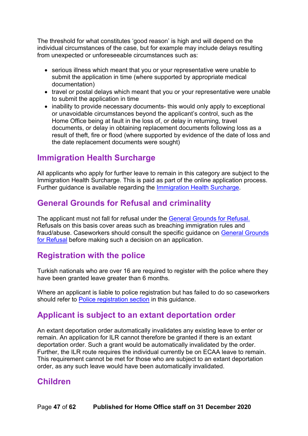The threshold for what constitutes 'good reason' is high and will depend on the individual circumstances of the case, but for example may include delays resulting from unexpected or unforeseeable circumstances such as:

- serious illness which meant that you or your representative were unable to submit the application in time (where supported by appropriate medical documentation)
- travel or postal delays which meant that you or your representative were unable to submit the application in time
- inability to provide necessary documents- this would only apply to exceptional or unavoidable circumstances beyond the applicant's control, such as the Home Office being at fault in the loss of, or delay in returning, travel documents, or delay in obtaining replacement documents following loss as a result of theft, fire or flood (where supported by evidence of the date of loss and the date replacement documents were sought)

#### **Immigration Health Surcharge**

All applicants who apply for further leave to remain in this category are subject to the Immigration Health Surcharge. This is paid as part of the online application process. Further guidance is available regarding the [Immigration Health Surcharge.](https://www.gov.uk/healthcare-immigration-application)

#### **General Grounds for Refusal and criminality**

The applicant must not fall for refusal under the [General Grounds for](https://www.gov.uk/government/publications/general-grounds-for-refusal-considering-leave-to-remain) Refusal. Refusals on this basis cover areas such as breaching immigration rules and fraud/abuse. Caseworkers should consult the specific guidance on [General Grounds](#page-34-0)  for [Refusal](#page-34-0) before making such a decision on an application.

#### <span id="page-46-0"></span>**Registration with the police**

Turkish nationals who are over 16 are required to register with the police where they have been granted leave greater than 6 months.

Where an applicant is liable to police registration but has failed to do so caseworkers should refer to [Police registration section](#page-35-0) in this guidance.

#### <span id="page-46-1"></span>**Applicant is subject to an extant deportation order**

An extant deportation order automatically invalidates any existing leave to enter or remain. An application for ILR cannot therefore be granted if there is an extant deportation order. Such a grant would be automatically invalidated by the order. Further, the ILR route requires the individual currently be on ECAA leave to remain. This requirement cannot be met for those who are subject to an extant deportation order, as any such leave would have been automatically invalidated.

#### <span id="page-46-2"></span>**Children**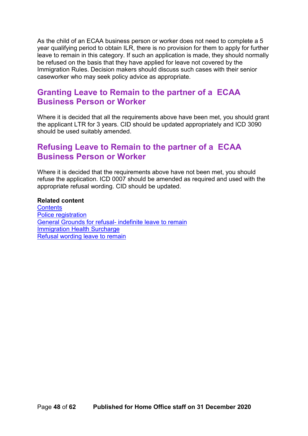As the child of an ECAA business person or worker does not need to complete a 5 year qualifying period to obtain ILR, there is no provision for them to apply for further leave to remain in this category. If such an application is made, they should normally be refused on the basis that they have applied for leave not covered by the Immigration Rules. Decision makers should discuss such cases with their senior caseworker who may seek policy advice as appropriate.

#### <span id="page-47-0"></span>**Granting Leave to Remain to the partner of a ECAA Business Person or Worker**

Where it is decided that all the requirements above have been met, you should grant the applicant LTR for 3 years. CID should be updated appropriately and ICD 3090 should be used suitably amended.

#### <span id="page-47-1"></span>**Refusing Leave to Remain to the partner of a ECAA Business Person or Worker**

Where it is decided that the requirements above have not been met, you should refuse the application. ICD 0007 should be amended as required and used with the appropriate refusal wording. CID should be updated.

#### **Related content**

**[Contents](#page-1-0)** [Police registration](https://www.gov.uk/government/publications/police-registration) [General Grounds for refusal-](https://www.gov.uk/government/collections/general-grounds-for-refusal-modernised-guidance) indefinite leave to remain [Immigration Health Surcharge](https://www.gov.uk/healthcare-immigration-application) [Refusal wording leave to remain](#page-58-0)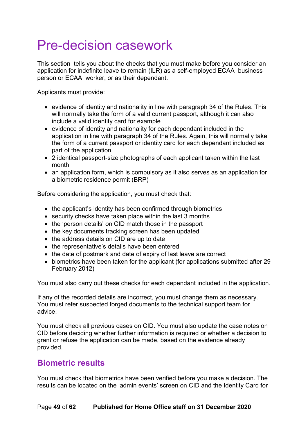# <span id="page-48-0"></span>Pre-decision casework

This section tells you about the checks that you must make before you consider an application for indefinite leave to remain (ILR) as a self-employed ECAA business person or ECAA worker, or as their dependant.

Applicants must provide:

- evidence of identity and nationality in line with paragraph 34 of the Rules. This will normally take the form of a valid current passport, although it can also include a valid identity card for example
- evidence of identity and nationality for each dependant included in the application in line with paragraph 34 of the Rules. Again, this will normally take the form of a current passport or identity card for each dependant included as part of the application
- 2 identical passport-size photographs of each applicant taken within the last month
- an application form, which is compulsory as it also serves as an application for a biometric residence permit (BRP)

Before considering the application, you must check that:

- the applicant's identity has been confirmed through biometrics
- security checks have taken place within the last 3 months
- the 'person details' on CID match those in the passport
- the key documents tracking screen has been updated
- the address details on CID are up to date
- the representative's details have been entered
- the date of postmark and date of expiry of last leave are correct
- biometrics have been taken for the applicant (for applications submitted after 29 February 2012)

You must also carry out these checks for each dependant included in the application.

If any of the recorded details are incorrect, you must change them as necessary. You must refer suspected forged documents to the technical support team for advice.

You must check all previous cases on CID. You must also update the case notes on CID before deciding whether further information is required or whether a decision to grant or refuse the application can be made, based on the evidence already provided.

#### <span id="page-48-1"></span>**Biometric results**

You must check that biometrics have been verified before you make a decision. The results can be located on the 'admin events' screen on CID and the Identity Card for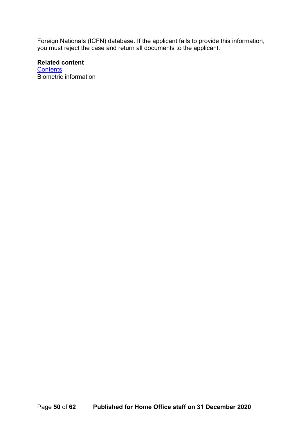Foreign Nationals (ICFN) database. If the applicant fails to provide this information, you must reject the case and return all documents to the applicant.

#### **Related content**

**[Contents](#page-1-0)** Biometric information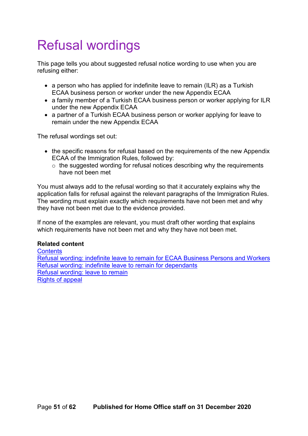# <span id="page-50-0"></span>Refusal wordings

This page tells you about suggested refusal notice wording to use when you are refusing either:

- a person who has applied for indefinite leave to remain (ILR) as a Turkish ECAA business person or worker under the new Appendix ECAA
- a family member of a Turkish ECAA business person or worker applying for ILR under the new Appendix ECAA
- a partner of a Turkish ECAA business person or worker applying for leave to remain under the new Appendix ECAA

The refusal wordings set out:

- the specific reasons for refusal based on the requirements of the new Appendix ECAA of the Immigration Rules, followed by:
	- $\circ$  the suggested wording for refusal notices describing why the requirements have not been met

You must always add to the refusal wording so that it accurately explains why the application falls for refusal against the relevant paragraphs of the Immigration Rules. The wording must explain exactly which requirements have not been met and why they have not been met due to the evidence provided.

If none of the examples are relevant, you must draft other wording that explains which requirements have not been met and why they have not been met.

#### **Related content**

**[Contents](#page-1-0)** [Refusal wording: indefinite leave to remain](#page-51-0) for ECAA Business Persons and Workers [Refusal wording: indefinite leave to remain for dependants](#page-54-0) [Refusal wording: leave to remain](#page-58-0) Rights of appeal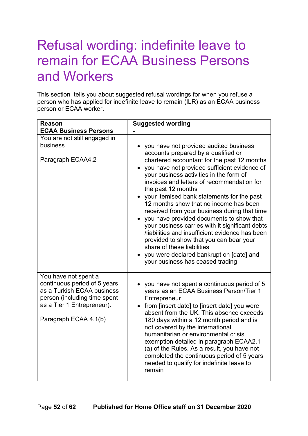# <span id="page-51-0"></span>Refusal wording: indefinite leave to remain for ECAA Business Persons and Workers

This section tells you about suggested refusal wordings for when you refuse a person who has applied for indefinite leave to remain (ILR) as an ECAA business person or ECAA worker.

| <b>Reason</b>                                                                                                                                                             | <b>Suggested wording</b>                                                                                                                                                                                                                                                                                                                                                                                                                                                                                                                                                                                                                                                                                                                        |
|---------------------------------------------------------------------------------------------------------------------------------------------------------------------------|-------------------------------------------------------------------------------------------------------------------------------------------------------------------------------------------------------------------------------------------------------------------------------------------------------------------------------------------------------------------------------------------------------------------------------------------------------------------------------------------------------------------------------------------------------------------------------------------------------------------------------------------------------------------------------------------------------------------------------------------------|
| <b>ECAA Business Persons</b>                                                                                                                                              |                                                                                                                                                                                                                                                                                                                                                                                                                                                                                                                                                                                                                                                                                                                                                 |
| You are not still engaged in<br>business<br>Paragraph ECAA4.2                                                                                                             | you have not provided audited business<br>accounts prepared by a qualified or<br>chartered accountant for the past 12 months<br>you have not provided sufficient evidence of<br>your business activities in the form of<br>invoices and letters of recommendation for<br>the past 12 months<br>your itemised bank statements for the past<br>12 months show that no income has been<br>received from your business during that time<br>• you have provided documents to show that<br>your business carries with it significant debts<br>liabilities and insufficient evidence has been<br>provided to show that you can bear your<br>share of these liabilities<br>you were declared bankrupt on [date] and<br>your business has ceased trading |
| You have not spent a<br>continuous period of 5 years<br>as a Turkish ECAA business<br>person (including time spent<br>as a Tier 1 Entrepreneur).<br>Paragraph ECAA 4.1(b) | you have not spent a continuous period of 5<br>years as an ECAA Business Person/Tier 1<br>Entrepreneur<br>from [insert date] to [insert date] you were<br>absent from the UK. This absence exceeds<br>180 days within a 12 month period and is<br>not covered by the international<br>humanitarian or environmental crisis<br>exemption detailed in paragraph ECAA2.1<br>(a) of the Rules. As a result, you have not<br>completed the continuous period of 5 years<br>needed to qualify for indefinite leave to<br>remain                                                                                                                                                                                                                       |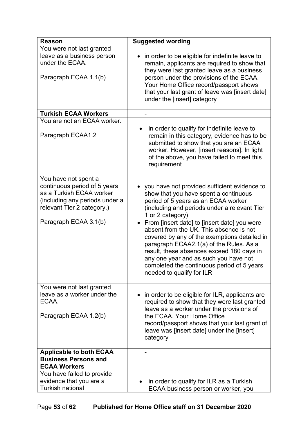| <b>Reason</b>                                                                                                                                                             | <b>Suggested wording</b>                                                                                                                                                                                                                                                                                                                                                                                                                                                                                                                                |
|---------------------------------------------------------------------------------------------------------------------------------------------------------------------------|---------------------------------------------------------------------------------------------------------------------------------------------------------------------------------------------------------------------------------------------------------------------------------------------------------------------------------------------------------------------------------------------------------------------------------------------------------------------------------------------------------------------------------------------------------|
| You were not last granted<br>leave as a business person<br>under the ECAA.<br>Paragraph ECAA 1.1(b)                                                                       | in order to be eligible for indefinite leave to<br>$\bullet$<br>remain, applicants are required to show that<br>they were last granted leave as a business<br>person under the provisions of the ECAA.<br>Your Home Office record/passport shows<br>that your last grant of leave was [insert date]<br>under the [insert] category                                                                                                                                                                                                                      |
| <b>Turkish ECAA Workers</b>                                                                                                                                               |                                                                                                                                                                                                                                                                                                                                                                                                                                                                                                                                                         |
| You are not an ECAA worker.<br>Paragraph ECAA1.2                                                                                                                          | in order to qualify for indefinite leave to<br>remain in this category, evidence has to be<br>submitted to show that you are an ECAA<br>worker. However, [insert reasons]. In light<br>of the above, you have failed to meet this<br>requirement                                                                                                                                                                                                                                                                                                        |
| You have not spent a<br>continuous period of 5 years<br>as a Turkish ECAA worker<br>(including any periods under a<br>relevant Tier 2 category.)<br>Paragraph ECAA 3.1(b) | you have not provided sufficient evidence to<br>show that you have spent a continuous<br>period of 5 years as an ECAA worker<br>(including and periods under a relevant Tier<br>1 or 2 category)<br>From [insert date] to [insert date] you were<br>absent from the UK. This absence is not<br>covered by any of the exemptions detailed in<br>paragraph ECAA2.1(a) of the Rules. As a<br>result, these absences exceed 180 days in<br>any one year and as such you have not<br>completed the continuous period of 5 years<br>needed to qualify for ILR |
| You were not last granted<br>leave as a worker under the<br>ECAA.<br>Paragraph ECAA 1.2(b)                                                                                | in order to be eligible for ILR, applicants are<br>required to show that they were last granted<br>leave as a worker under the provisions of<br>the ECAA. Your Home Office<br>record/passport shows that your last grant of<br>leave was [insert date] under the [insert]<br>category                                                                                                                                                                                                                                                                   |
| <b>Applicable to both ECAA</b><br><b>Business Persons and</b><br><b>ECAA Workers</b>                                                                                      |                                                                                                                                                                                                                                                                                                                                                                                                                                                                                                                                                         |
| You have failed to provide<br>evidence that you are a<br><b>Turkish national</b>                                                                                          | in order to qualify for ILR as a Turkish<br>ECAA business person or worker, you                                                                                                                                                                                                                                                                                                                                                                                                                                                                         |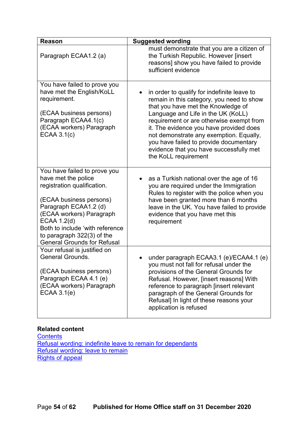| <b>Reason</b>                                                                                                                                                                                                                                                                            | <b>Suggested wording</b>                                                                                                                                                                                                                                                                                                                                                                                            |
|------------------------------------------------------------------------------------------------------------------------------------------------------------------------------------------------------------------------------------------------------------------------------------------|---------------------------------------------------------------------------------------------------------------------------------------------------------------------------------------------------------------------------------------------------------------------------------------------------------------------------------------------------------------------------------------------------------------------|
| Paragraph ECAA1.2 (a)                                                                                                                                                                                                                                                                    | must demonstrate that you are a citizen of<br>the Turkish Republic. However [insert<br>reasons] show you have failed to provide<br>sufficient evidence                                                                                                                                                                                                                                                              |
| You have failed to prove you<br>have met the English/KoLL<br>requirement.<br>(ECAA business persons)<br>Paragraph ECAA4.1(c)<br>(ECAA workers) Paragraph<br><b>ECAA 3.1(c)</b>                                                                                                           | in order to qualify for indefinite leave to<br>remain in this category, you need to show<br>that you have met the Knowledge of<br>Language and Life in the UK (KoLL)<br>requirement or are otherwise exempt from<br>it. The evidence you have provided does<br>not demonstrate any exemption. Equally,<br>you have failed to provide documentary<br>evidence that you have successfully met<br>the KoLL requirement |
| You have failed to prove you<br>have met the police<br>registration qualification.<br>(ECAA business persons)<br>Paragraph ECAA1.2 (d)<br>(ECAA workers) Paragraph<br>ECAA 1.2(d)<br>Both to include 'with reference<br>to paragraph 322(3) of the<br><b>General Grounds for Refusal</b> | as a Turkish national over the age of 16<br>you are required under the Immigration<br>Rules to register with the police when you<br>have been granted more than 6 months<br>leave in the UK. You have failed to provide<br>evidence that you have met this<br>requirement                                                                                                                                           |
| Your refusal is justified on<br><b>General Grounds.</b><br>(ECAA business persons)<br>Paragraph ECAA 4.1 (e)<br>(ECAA workers) Paragraph<br>ECAA 3.1(e)                                                                                                                                  | under paragraph ECAA3.1 (e)/ECAA4.1 (e)<br>you must not fall for refusal under the<br>provisions of the General Grounds for<br>Refusal. However, [insert reasons] With<br>reference to paragraph [insert relevant<br>paragraph of the General Grounds for<br>Refusal] In light of these reasons your<br>application is refused                                                                                      |

#### **Related content**

**[Contents](#page-1-0)** [Refusal wording: indefinite leave to remain for dependants](#page-54-0) [Refusal wording: leave to remain](#page-58-0) **Rights of appeal**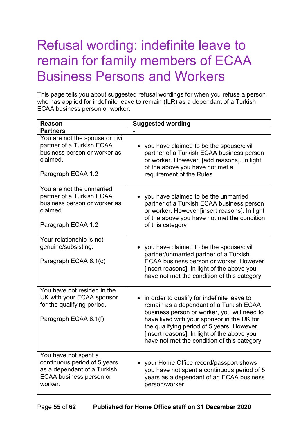# <span id="page-54-0"></span>Refusal wording: indefinite leave to remain for family members of ECAA Business Persons and Workers

This page tells you about suggested refusal wordings for when you refuse a person who has applied for indefinite leave to remain (ILR) as a dependant of a Turkish ECAA business person or worker.

| <b>Reason</b>                                                                                                                    | <b>Suggested wording</b>                                                                                                                                                                                                                                                                                                        |
|----------------------------------------------------------------------------------------------------------------------------------|---------------------------------------------------------------------------------------------------------------------------------------------------------------------------------------------------------------------------------------------------------------------------------------------------------------------------------|
| <b>Partners</b>                                                                                                                  |                                                                                                                                                                                                                                                                                                                                 |
| You are not the spouse or civil<br>partner of a Turkish ECAA<br>business person or worker as<br>claimed.<br>Paragraph ECAA 1.2   | you have claimed to be the spouse/civil<br>partner of a Turkish ECAA business person<br>or worker. However, [add reasons]. In light<br>of the above you have not met a<br>requirement of the Rules                                                                                                                              |
| You are not the unmarried<br>partner of a Turkish ECAA<br>business person or worker as<br>claimed.<br>Paragraph ECAA 1.2         | you have claimed to be the unmarried<br>partner of a Turkish ECAA business person<br>or worker. However [insert reasons]. In light<br>of the above you have not met the condition<br>of this category                                                                                                                           |
| Your relationship is not<br>genuine/subsisting.<br>Paragraph ECAA 6.1(c)                                                         | you have claimed to be the spouse/civil<br>partner/unmarried partner of a Turkish<br>ECAA business person or worker. However<br>[insert reasons]. In light of the above you<br>have not met the condition of this category                                                                                                      |
| You have not resided in the<br>UK with your ECAA sponsor<br>for the qualifying period.<br>Paragraph ECAA 6.1(f)                  | in order to qualify for indefinite leave to<br>remain as a dependant of a Turkish ECAA<br>business person or worker, you will need to<br>have lived with your sponsor in the UK for<br>the qualifying period of 5 years. However,<br>[insert reasons]. In light of the above you<br>have not met the condition of this category |
| You have not spent a<br>continuous period of 5 years<br>as a dependant of a Turkish<br><b>ECAA business person or</b><br>worker. | your Home Office record/passport shows<br>you have not spent a continuous period of 5<br>years as a dependant of an ECAA business<br>person/worker                                                                                                                                                                              |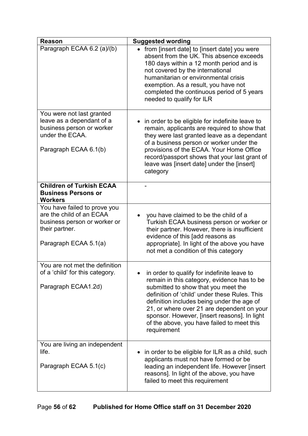| <b>Reason</b>                                                                                                                       | <b>Suggested wording</b>                                                                                                                                                                                                                                                                                                                                                                    |
|-------------------------------------------------------------------------------------------------------------------------------------|---------------------------------------------------------------------------------------------------------------------------------------------------------------------------------------------------------------------------------------------------------------------------------------------------------------------------------------------------------------------------------------------|
| Paragraph ECAA 6.2 (a)/(b)                                                                                                          | from [insert date] to [insert date] you were<br>absent from the UK. This absence exceeds<br>180 days within a 12 month period and is<br>not covered by the international<br>humanitarian or environmental crisis<br>exemption. As a result, you have not<br>completed the continuous period of 5 years<br>needed to qualify for ILR                                                         |
| You were not last granted<br>leave as a dependant of a<br>business person or worker<br>under the ECAA.<br>Paragraph ECAA 6.1(b)     | in order to be eligible for indefinite leave to<br>remain, applicants are required to show that<br>they were last granted leave as a dependant<br>of a business person or worker under the<br>provisions of the ECAA. Your Home Office<br>record/passport shows that your last grant of<br>leave was [insert date] under the [insert]<br>category                                           |
| <b>Children of Turkish ECAA</b><br><b>Business Persons or</b><br><b>Workers</b>                                                     |                                                                                                                                                                                                                                                                                                                                                                                             |
| You have failed to prove you<br>are the child of an ECAA<br>business person or worker or<br>their partner.<br>Paragraph ECAA 5.1(a) | you have claimed to be the child of a<br>Turkish ECAA business person or worker or<br>their partner. However, there is insufficient<br>evidence of this [add reasons as<br>appropriate]. In light of the above you have<br>not met a condition of this category                                                                                                                             |
| You are not met the definition<br>of a 'child' for this category.<br>Paragraph ECAA1.2d)                                            | in order to qualify for indefinite leave to<br>remain in this category, evidence has to be<br>submitted to show that you meet the<br>definition of 'child' under these Rules. This<br>definition includes being under the age of<br>21, or where over 21 are dependent on your<br>sponsor. However, [insert reasons]. In light<br>of the above, you have failed to meet this<br>requirement |
| You are living an independent<br>life.<br>Paragraph ECAA 5.1(c)                                                                     | • in order to be eligible for ILR as a child, such<br>applicants must not have formed or be<br>leading an independent life. However [insert<br>reasons]. In light of the above, you have<br>failed to meet this requirement                                                                                                                                                                 |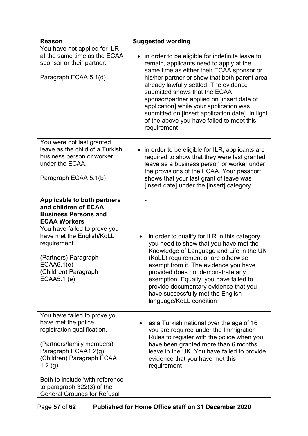| <b>Reason</b>                                                                                                                                                                                                                                                                         | <b>Suggested wording</b>                                                                                                                                                                                                                                                                                                                                                                                                                                                                  |
|---------------------------------------------------------------------------------------------------------------------------------------------------------------------------------------------------------------------------------------------------------------------------------------|-------------------------------------------------------------------------------------------------------------------------------------------------------------------------------------------------------------------------------------------------------------------------------------------------------------------------------------------------------------------------------------------------------------------------------------------------------------------------------------------|
| You have not applied for ILR<br>at the same time as the ECAA<br>sponsor or their partner.<br>Paragraph ECAA 5.1(d)                                                                                                                                                                    | in order to be eligible for indefinite leave to<br>$\bullet$<br>remain, applicants need to apply at the<br>same time as either their ECAA sponsor or<br>his/her partner or show that both parent area<br>already lawfully settled. The evidence<br>submitted shows that the ECAA<br>sponsor/partner applied on [insert date of<br>application] while your application was<br>submitted on [insert application date]. In light<br>of the above you have failed to meet this<br>requirement |
| You were not last granted<br>leave as the child of a Turkish<br>business person or worker<br>under the ECAA.<br>Paragraph ECAA 5.1(b)                                                                                                                                                 | in order to be eligible for ILR, applicants are<br>$\bullet$<br>required to show that they were last granted<br>leave as a business person or worker under<br>the provisions of the ECAA. Your passport<br>shows that your last grant of leave was<br>[insert date] under the [insert] category                                                                                                                                                                                           |
| <b>Applicable to both partners</b><br>and children of ECAA<br><b>Business Persons and</b><br><b>ECAA Workers</b>                                                                                                                                                                      |                                                                                                                                                                                                                                                                                                                                                                                                                                                                                           |
| You have failed to prove you<br>have met the English/KoLL<br>requirement.<br>(Partners) Paragraph<br>ECAAA6.1(e)<br>(Children) Paragraph<br>ECAA5.1 (e)                                                                                                                               | in order to qualify for ILR in this category,<br>$\bullet$<br>you need to show that you have met the<br>Knowledge of Language and Life in the UK<br>(KoLL) requirement or are otherwise<br>exempt from it. The evidence you have<br>provided does not demonstrate any<br>exemption. Equally, you have failed to<br>provide documentary evidence that you<br>have successfully met the English<br>language/KoLL condition                                                                  |
| You have failed to prove you<br>have met the police<br>registration qualification.<br>(Partners/family members)<br>Paragraph ECAA1.2(g)<br>(Children) Paragraph ECAA<br>1.2(g)<br>Both to include 'with reference<br>to paragraph 322(3) of the<br><b>General Grounds for Refusal</b> | as a Turkish national over the age of 16<br>you are required under the Immigration<br>Rules to register with the police when you<br>have been granted more than 6 months<br>leave in the UK. You have failed to provide<br>evidence that you have met this<br>requirement                                                                                                                                                                                                                 |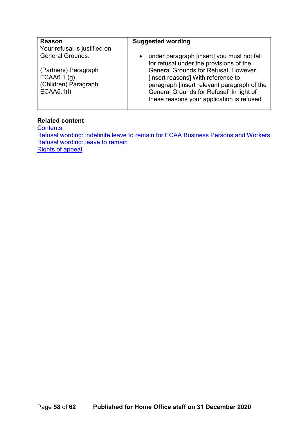| <b>Reason</b>                | <b>Suggested wording</b>                                                                |
|------------------------------|-----------------------------------------------------------------------------------------|
| Your refusal is justified on |                                                                                         |
| <b>General Grounds.</b>      | • under paragraph [insert] you must not fall<br>for refusal under the provisions of the |
| (Partners) Paragraph         | General Grounds for Refusal. However,                                                   |
| ECAAA6.1(g)                  | [insert reasons] With reference to                                                      |
| (Children) Paragraph         | paragraph [insert relevant paragraph of the                                             |
| ECAA5.1(i)                   | General Grounds for Refusal] In light of                                                |
|                              | these reasons your application is refused                                               |
|                              |                                                                                         |

#### **Related content**

**[Contents](#page-1-0)** [Refusal wording: indefinite leave to remain for ECAA Business Persons and Workers](#page-51-0) [Refusal wording: leave to remain](#page-58-0) Rights of appeal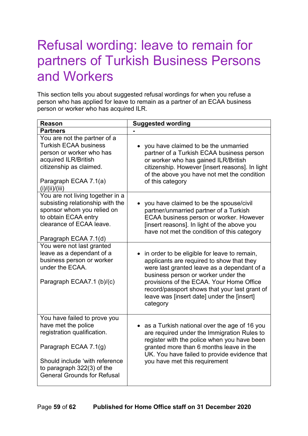# <span id="page-58-0"></span>Refusal wording: leave to remain for partners of Turkish Business Persons and Workers

This section tells you about suggested refusal wordings for when you refuse a person who has applied for leave to remain as a partner of an ECAA business person or worker who has acquired ILR.

| <b>Reason</b>                                                                                                                                                                                                     | <b>Suggested wording</b>                                                                                                                                                                                                                                                                                                               |
|-------------------------------------------------------------------------------------------------------------------------------------------------------------------------------------------------------------------|----------------------------------------------------------------------------------------------------------------------------------------------------------------------------------------------------------------------------------------------------------------------------------------------------------------------------------------|
| <b>Partners</b>                                                                                                                                                                                                   |                                                                                                                                                                                                                                                                                                                                        |
| You are not the partner of a<br><b>Turkish ECAA business</b><br>person or worker who has<br>acquired ILR/British<br>citizenship as claimed.<br>Paragraph ECAA 7.1(a)<br>(i)/(ii)/(iii)                            | you have claimed to be the unmarried<br>partner of a Turkish ECAA business person<br>or worker who has gained ILR/British<br>citizenship. However [insert reasons]. In light<br>of the above you have not met the condition<br>of this category                                                                                        |
| You are not living together in a<br>subsisting relationship with the<br>sponsor whom you relied on<br>to obtain ECAA entry<br>clearance of ECAA leave.<br>Paragraph ECAA 7.1(d)                                   | you have claimed to be the spouse/civil<br>partner/unmarried partner of a Turkish<br>ECAA business person or worker. However<br>[insert reasons]. In light of the above you<br>have not met the condition of this category                                                                                                             |
| You were not last granted<br>leave as a dependant of a<br>business person or worker<br>under the ECAA.<br>Paragraph ECAA7.1 (b)/(c)                                                                               | in order to be eligible for leave to remain,<br>applicants are required to show that they<br>were last granted leave as a dependant of a<br>business person or worker under the<br>provisions of the ECAA. Your Home Office<br>record/passport shows that your last grant of<br>leave was [insert date] under the [insert]<br>category |
| You have failed to prove you<br>have met the police<br>registration qualification.<br>Paragraph ECAA 7.1(g)<br>Should include 'with reference<br>to paragraph 322(3) of the<br><b>General Grounds for Refusal</b> | • as a Turkish national over the age of 16 you<br>are required under the Immigration Rules to<br>register with the police when you have been<br>granted more than 6 months leave in the<br>UK. You have failed to provide evidence that<br>you have met this requirement                                                               |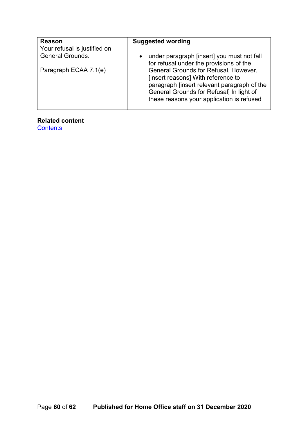| <b>Reason</b>                | <b>Suggested wording</b>                    |
|------------------------------|---------------------------------------------|
| Your refusal is justified on |                                             |
| <b>General Grounds.</b>      | under paragraph [insert] you must not fall  |
|                              | for refusal under the provisions of the     |
| Paragraph ECAA 7.1(e)        | General Grounds for Refusal. However,       |
|                              | [insert reasons] With reference to          |
|                              | paragraph [insert relevant paragraph of the |
|                              | General Grounds for Refusal] In light of    |
|                              | these reasons your application is refused   |
|                              |                                             |

**Related content**

**[Contents](#page-1-0)**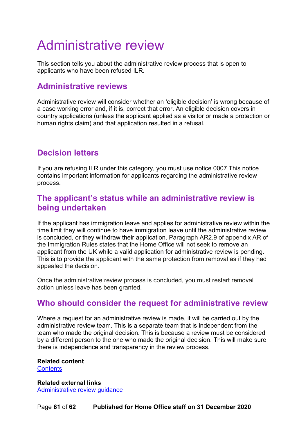# <span id="page-60-0"></span>Administrative review

This section tells you about the administrative review process that is open to applicants who have been refused ILR.

#### <span id="page-60-1"></span>**Administrative reviews**

Administrative review will consider whether an 'eligible decision' is wrong because of a case working error and, if it is, correct that error. An eligible decision covers in country applications (unless the applicant applied as a visitor or made a protection or human rights claim) and that application resulted in a refusal.

#### <span id="page-60-2"></span>**Decision letters**

If you are refusing ILR under this category, you must use notice 0007 This notice contains important information for applicants regarding the administrative review process.

#### <span id="page-60-3"></span>**The applicant's status while an administrative review is being undertaken**

If the applicant has immigration leave and applies for administrative review within the time limit they will continue to have immigration leave until the administrative review is concluded, or they withdraw their application. Paragraph AR2.9 of appendix AR of the Immigration Rules states that the Home Office will not seek to remove an applicant from the UK while a valid application for administrative review is pending. This is to provide the applicant with the same protection from removal as if they had appealed the decision.

Once the administrative review process is concluded, you must restart removal action unless leave has been granted.

#### <span id="page-60-4"></span>**Who should consider the request for administrative review**

Where a request for an administrative review is made, it will be carried out by the administrative review team. This is a separate team that is independent from the team who made the original decision. This is because a review must be considered by a different person to the one who made the original decision. This will make sure there is independence and transparency in the review process.

**Related content [Contents](#page-1-0)** 

**Related external links** [Administrative review guidance](https://www.gov.uk/government/publications/administrative-review)